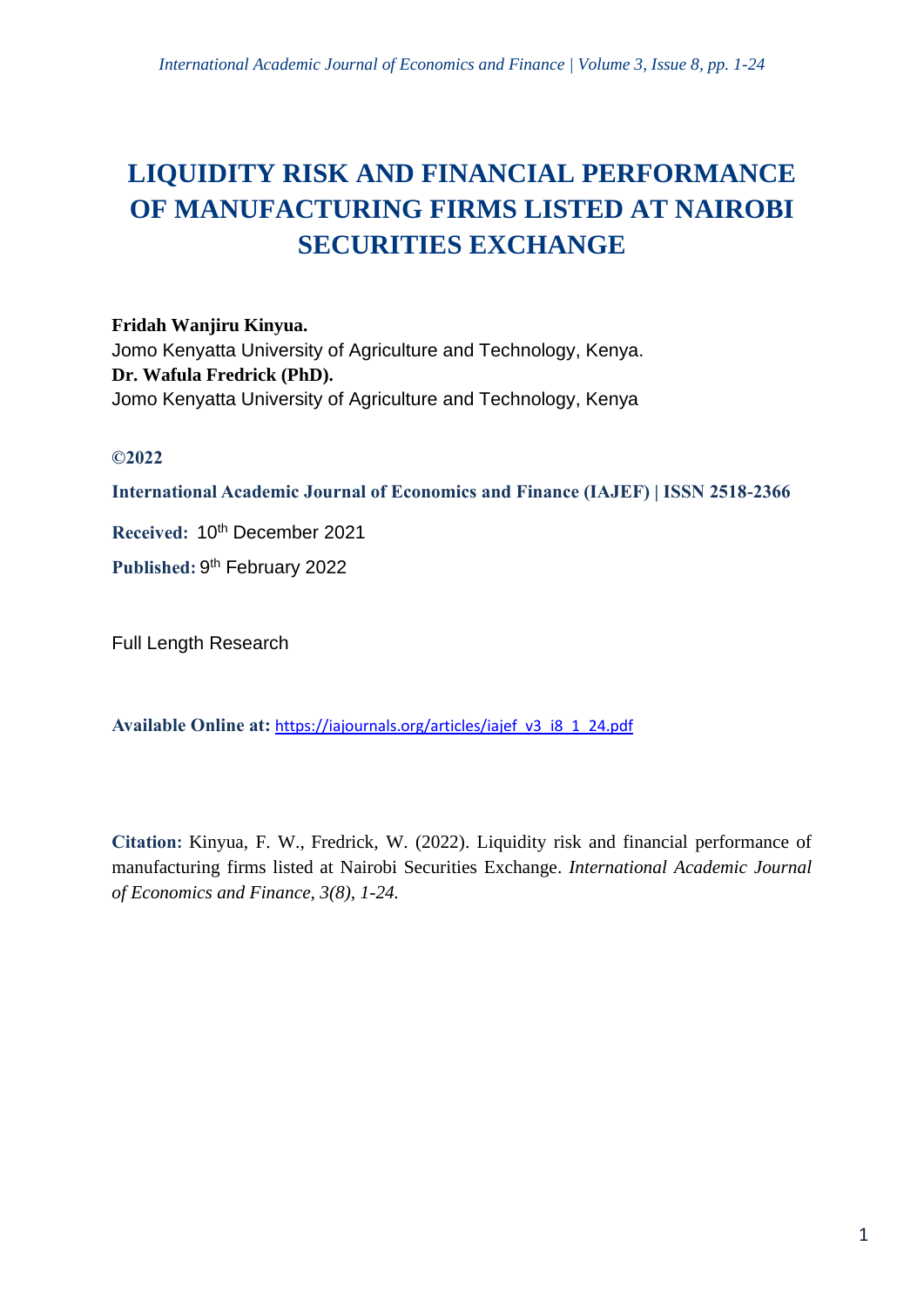# **LIQUIDITY RISK AND FINANCIAL PERFORMANCE OF MANUFACTURING FIRMS LISTED AT NAIROBI SECURITIES EXCHANGE**

**Fridah Wanjiru Kinyua.** Jomo Kenyatta University of Agriculture and Technology, Kenya. **Dr. Wafula Fredrick (PhD).** Jomo Kenyatta University of Agriculture and Technology, Kenya

# **©2022**

**International Academic Journal of Economics and Finance (IAJEF) | ISSN 2518-2366**

**Received: 10<sup>th</sup> December 2021** 

Published: 9<sup>th</sup> February 2022

Full Length Research

**Available Online at:** [https://iajournals.org/articles/iajef\\_v3\\_i8\\_1\\_24.pdf](https://iajournals.org/articles/iajef_v3_i8_1_24.pdf)

**Citation:** Kinyua, F. W., Fredrick, W. (2022). Liquidity risk and financial performance of manufacturing firms listed at Nairobi Securities Exchange. *International Academic Journal of Economics and Finance, 3(8), 1-24.*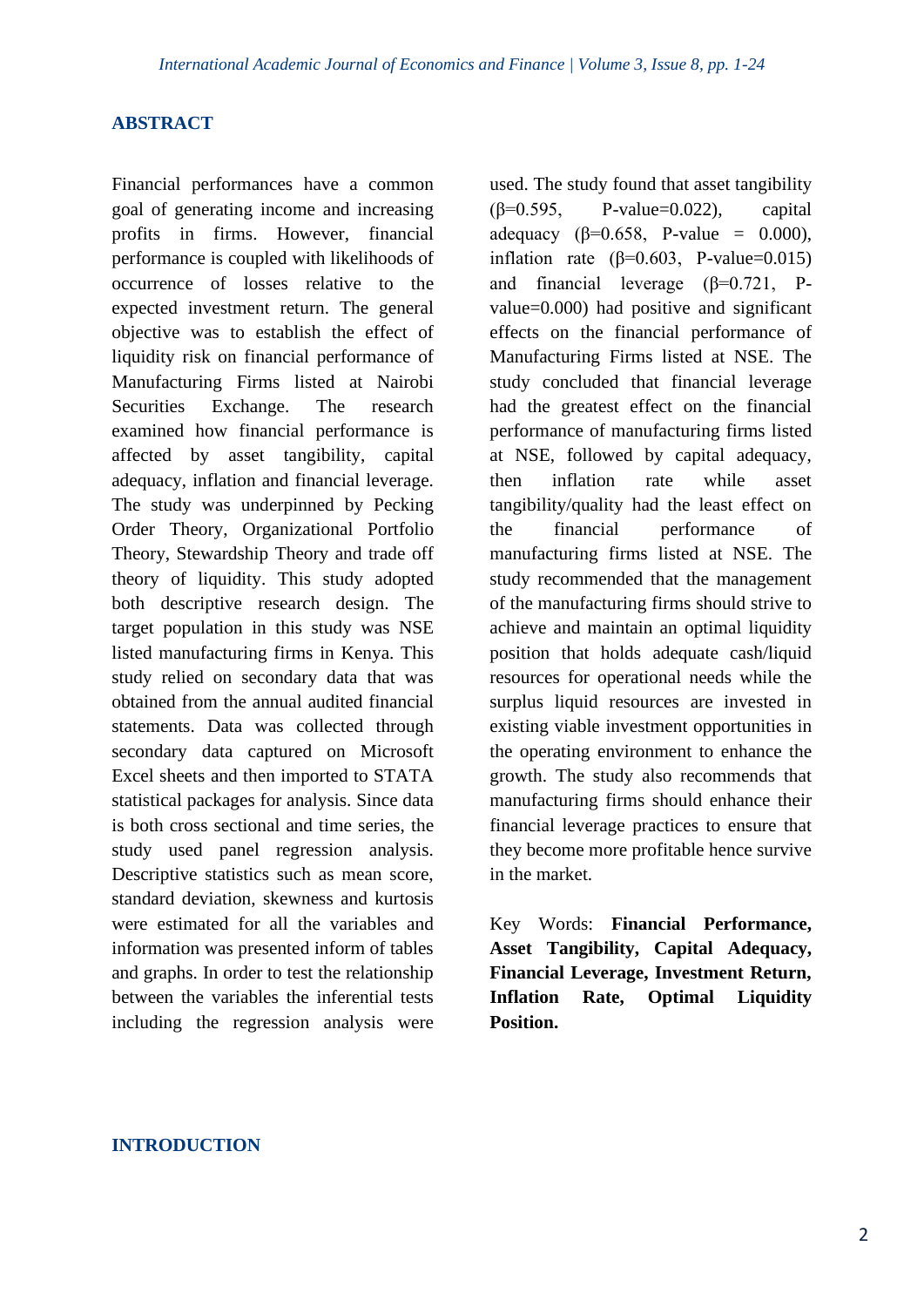#### **ABSTRACT**

Financial performances have a common goal of generating income and increasing profits in firms. However, financial performance is coupled with likelihoods of occurrence of losses relative to the expected investment return. The general objective was to establish the effect of liquidity risk on financial performance of Manufacturing Firms listed at Nairobi Securities Exchange. The research examined how financial performance is affected by asset tangibility, capital adequacy, inflation and financial leverage. The study was underpinned by Pecking Order Theory, Organizational Portfolio Theory, Stewardship Theory and trade off theory of liquidity. This study adopted both descriptive research design. The target population in this study was NSE listed manufacturing firms in Kenya. This study relied on secondary data that was obtained from the annual audited financial statements. Data was collected through secondary data captured on Microsoft Excel sheets and then imported to STATA statistical packages for analysis. Since data is both cross sectional and time series, the study used panel regression analysis. Descriptive statistics such as mean score, standard deviation, skewness and kurtosis were estimated for all the variables and information was presented inform of tables and graphs. In order to test the relationship between the variables the inferential tests including the regression analysis were

used. The study found that asset tangibility (β=0.595, P-value=0.022), capital adequacy ( $\beta$ =0.658, P-value = 0.000), inflation rate ( $\beta$ =0.603, P-value=0.015) and financial leverage (β=0.721, Pvalue=0.000) had positive and significant effects on the financial performance of Manufacturing Firms listed at NSE. The study concluded that financial leverage had the greatest effect on the financial performance of manufacturing firms listed at NSE, followed by capital adequacy, then inflation rate while asset tangibility/quality had the least effect on the financial performance of manufacturing firms listed at NSE. The study recommended that the management of the manufacturing firms should strive to achieve and maintain an optimal liquidity position that holds adequate cash/liquid resources for operational needs while the surplus liquid resources are invested in existing viable investment opportunities in the operating environment to enhance the growth. The study also recommends that manufacturing firms should enhance their financial leverage practices to ensure that they become more profitable hence survive in the market.

Key Words: **Financial Performance, Asset Tangibility, Capital Adequacy, Financial Leverage, Investment Return, Inflation Rate, Optimal Liquidity Position.**

#### **INTRODUCTION**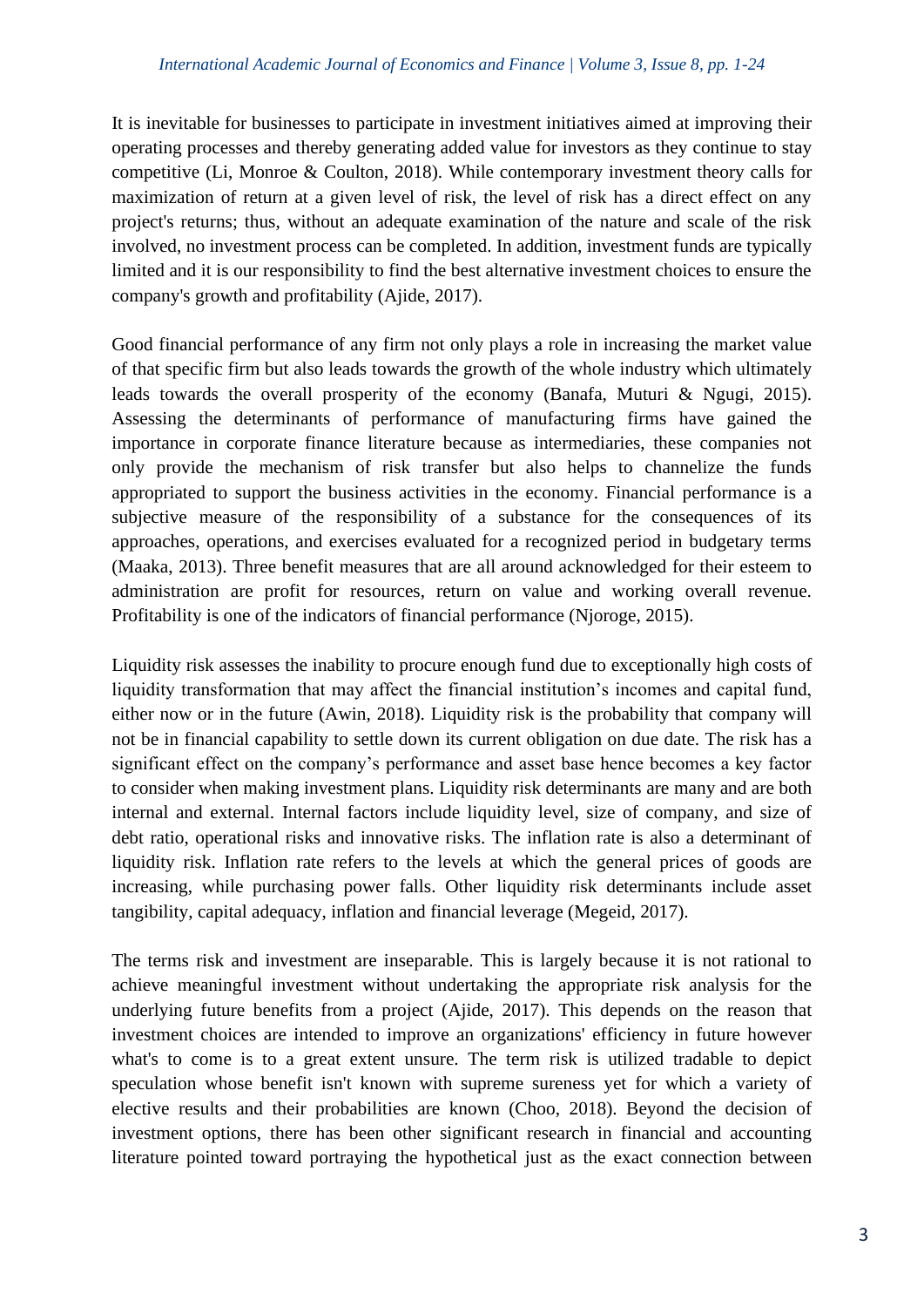It is inevitable for businesses to participate in investment initiatives aimed at improving their operating processes and thereby generating added value for investors as they continue to stay competitive (Li, Monroe & Coulton, 2018). While contemporary investment theory calls for maximization of return at a given level of risk, the level of risk has a direct effect on any project's returns; thus, without an adequate examination of the nature and scale of the risk involved, no investment process can be completed. In addition, investment funds are typically limited and it is our responsibility to find the best alternative investment choices to ensure the company's growth and profitability (Ajide, 2017).

Good financial performance of any firm not only plays a role in increasing the market value of that specific firm but also leads towards the growth of the whole industry which ultimately leads towards the overall prosperity of the economy (Banafa, Muturi & Ngugi, 2015). Assessing the determinants of performance of manufacturing firms have gained the importance in corporate finance literature because as intermediaries, these companies not only provide the mechanism of risk transfer but also helps to channelize the funds appropriated to support the business activities in the economy. Financial performance is a subjective measure of the responsibility of a substance for the consequences of its approaches, operations, and exercises evaluated for a recognized period in budgetary terms (Maaka, 2013). Three benefit measures that are all around acknowledged for their esteem to administration are profit for resources, return on value and working overall revenue. Profitability is one of the indicators of financial performance (Njoroge, 2015).

Liquidity risk assesses the inability to procure enough fund due to exceptionally high costs of liquidity transformation that may affect the financial institution's incomes and capital fund, either now or in the future (Awin, 2018). Liquidity risk is the probability that company will not be in financial capability to settle down its current obligation on due date. The risk has a significant effect on the company's performance and asset base hence becomes a key factor to consider when making investment plans. Liquidity risk determinants are many and are both internal and external. Internal factors include liquidity level, size of company, and size of debt ratio, operational risks and innovative risks. The inflation rate is also a determinant of liquidity risk. Inflation rate refers to the levels at which the general prices of goods are increasing, while purchasing power falls. Other liquidity risk determinants include asset tangibility, capital adequacy, inflation and financial leverage (Megeid, 2017).

The terms risk and investment are inseparable. This is largely because it is not rational to achieve meaningful investment without undertaking the appropriate risk analysis for the underlying future benefits from a project (Ajide, 2017). This depends on the reason that investment choices are intended to improve an organizations' efficiency in future however what's to come is to a great extent unsure. The term risk is utilized tradable to depict speculation whose benefit isn't known with supreme sureness yet for which a variety of elective results and their probabilities are known (Choo, 2018). Beyond the decision of investment options, there has been other significant research in financial and accounting literature pointed toward portraying the hypothetical just as the exact connection between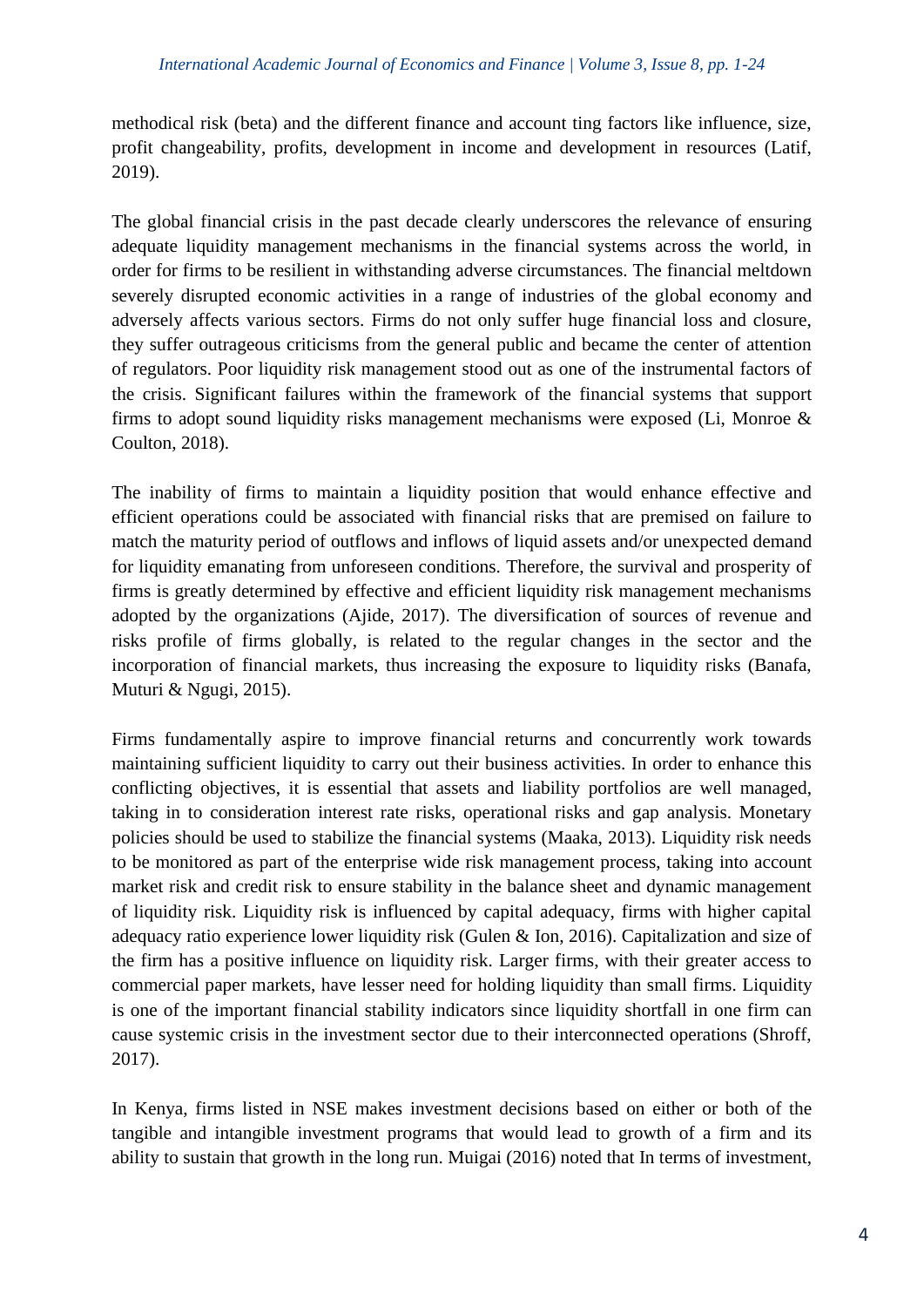methodical risk (beta) and the different finance and account ting factors like influence, size, profit changeability, profits, development in income and development in resources (Latif, 2019).

The global financial crisis in the past decade clearly underscores the relevance of ensuring adequate liquidity management mechanisms in the financial systems across the world, in order for firms to be resilient in withstanding adverse circumstances. The financial meltdown severely disrupted economic activities in a range of industries of the global economy and adversely affects various sectors. Firms do not only suffer huge financial loss and closure, they suffer outrageous criticisms from the general public and became the center of attention of regulators. Poor liquidity risk management stood out as one of the instrumental factors of the crisis. Significant failures within the framework of the financial systems that support firms to adopt sound liquidity risks management mechanisms were exposed (Li, Monroe & Coulton, 2018).

The inability of firms to maintain a liquidity position that would enhance effective and efficient operations could be associated with financial risks that are premised on failure to match the maturity period of outflows and inflows of liquid assets and/or unexpected demand for liquidity emanating from unforeseen conditions. Therefore, the survival and prosperity of firms is greatly determined by effective and efficient liquidity risk management mechanisms adopted by the organizations (Ajide, 2017). The diversification of sources of revenue and risks profile of firms globally, is related to the regular changes in the sector and the incorporation of financial markets, thus increasing the exposure to liquidity risks (Banafa, Muturi & Ngugi, 2015).

Firms fundamentally aspire to improve financial returns and concurrently work towards maintaining sufficient liquidity to carry out their business activities. In order to enhance this conflicting objectives, it is essential that assets and liability portfolios are well managed, taking in to consideration interest rate risks, operational risks and gap analysis. Monetary policies should be used to stabilize the financial systems (Maaka, 2013). Liquidity risk needs to be monitored as part of the enterprise wide risk management process, taking into account market risk and credit risk to ensure stability in the balance sheet and dynamic management of liquidity risk. Liquidity risk is influenced by capital adequacy, firms with higher capital adequacy ratio experience lower liquidity risk (Gulen & Ion, 2016). Capitalization and size of the firm has a positive influence on liquidity risk. Larger firms, with their greater access to commercial paper markets, have lesser need for holding liquidity than small firms. Liquidity is one of the important financial stability indicators since liquidity shortfall in one firm can cause systemic crisis in the investment sector due to their interconnected operations (Shroff, 2017).

In Kenya, firms listed in NSE makes investment decisions based on either or both of the tangible and intangible investment programs that would lead to growth of a firm and its ability to sustain that growth in the long run. Muigai (2016) noted that In terms of investment,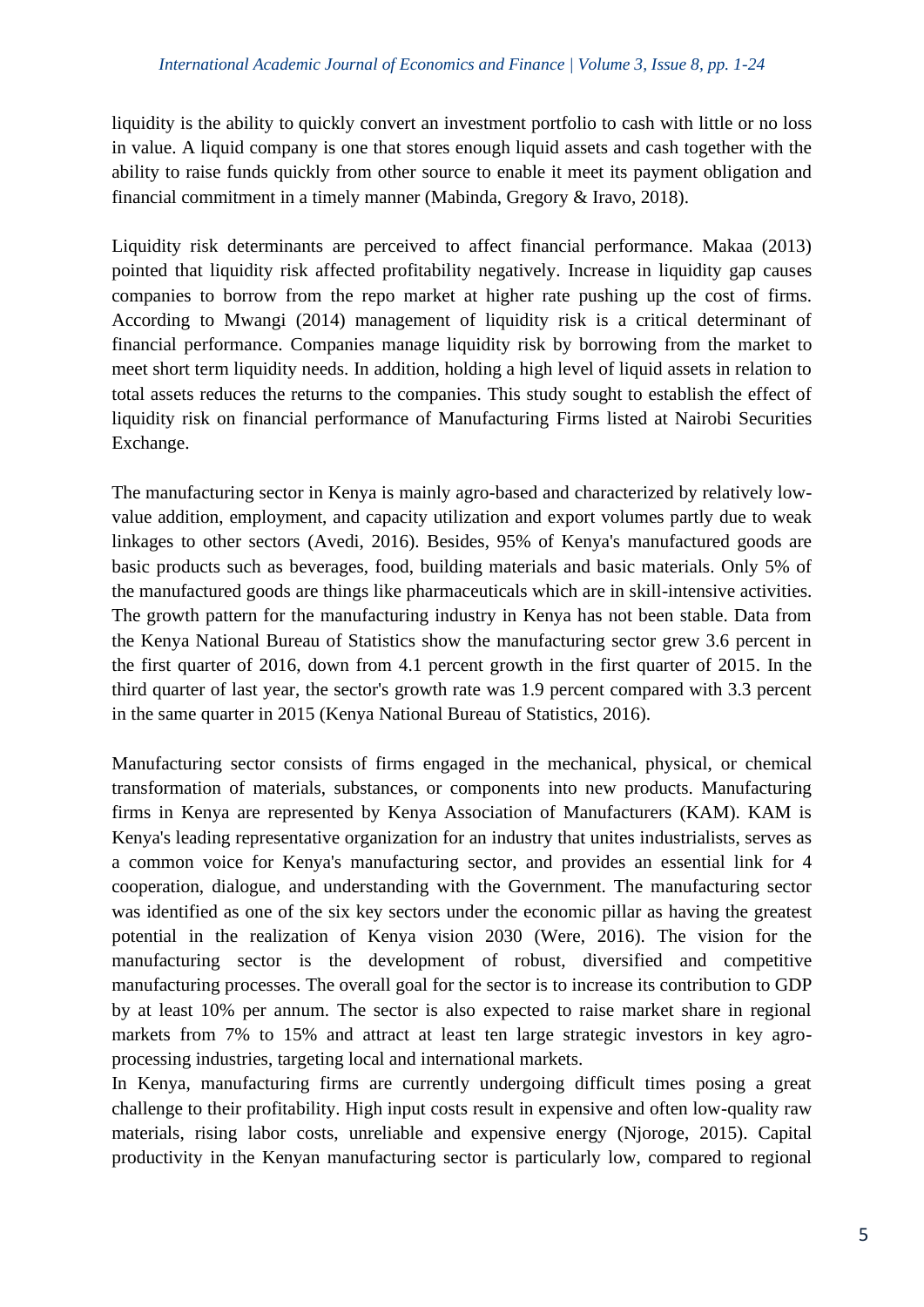liquidity is the ability to quickly convert an investment portfolio to cash with little or no loss in value. A liquid company is one that stores enough liquid assets and cash together with the ability to raise funds quickly from other source to enable it meet its payment obligation and financial commitment in a timely manner (Mabinda, Gregory & Iravo, 2018).

Liquidity risk determinants are perceived to affect financial performance. Makaa (2013) pointed that liquidity risk affected profitability negatively. Increase in liquidity gap causes companies to borrow from the repo market at higher rate pushing up the cost of firms. According to Mwangi (2014) management of liquidity risk is a critical determinant of financial performance. Companies manage liquidity risk by borrowing from the market to meet short term liquidity needs. In addition, holding a high level of liquid assets in relation to total assets reduces the returns to the companies. This study sought to establish the effect of liquidity risk on financial performance of Manufacturing Firms listed at Nairobi Securities Exchange.

The manufacturing sector in Kenya is mainly agro-based and characterized by relatively lowvalue addition, employment, and capacity utilization and export volumes partly due to weak linkages to other sectors (Avedi, 2016). Besides, 95% of Kenya's manufactured goods are basic products such as beverages, food, building materials and basic materials. Only 5% of the manufactured goods are things like pharmaceuticals which are in skill-intensive activities. The growth pattern for the manufacturing industry in Kenya has not been stable. Data from the Kenya National Bureau of Statistics show the manufacturing sector grew 3.6 percent in the first quarter of 2016, down from 4.1 percent growth in the first quarter of 2015. In the third quarter of last year, the sector's growth rate was 1.9 percent compared with 3.3 percent in the same quarter in 2015 (Kenya National Bureau of Statistics, 2016).

Manufacturing sector consists of firms engaged in the mechanical, physical, or chemical transformation of materials, substances, or components into new products. Manufacturing firms in Kenya are represented by Kenya Association of Manufacturers (KAM). KAM is Kenya's leading representative organization for an industry that unites industrialists, serves as a common voice for Kenya's manufacturing sector, and provides an essential link for 4 cooperation, dialogue, and understanding with the Government. The manufacturing sector was identified as one of the six key sectors under the economic pillar as having the greatest potential in the realization of Kenya vision 2030 (Were, 2016). The vision for the manufacturing sector is the development of robust, diversified and competitive manufacturing processes. The overall goal for the sector is to increase its contribution to GDP by at least 10% per annum. The sector is also expected to raise market share in regional markets from 7% to 15% and attract at least ten large strategic investors in key agroprocessing industries, targeting local and international markets.

In Kenya, manufacturing firms are currently undergoing difficult times posing a great challenge to their profitability. High input costs result in expensive and often low-quality raw materials, rising labor costs, unreliable and expensive energy (Njoroge, 2015). Capital productivity in the Kenyan manufacturing sector is particularly low, compared to regional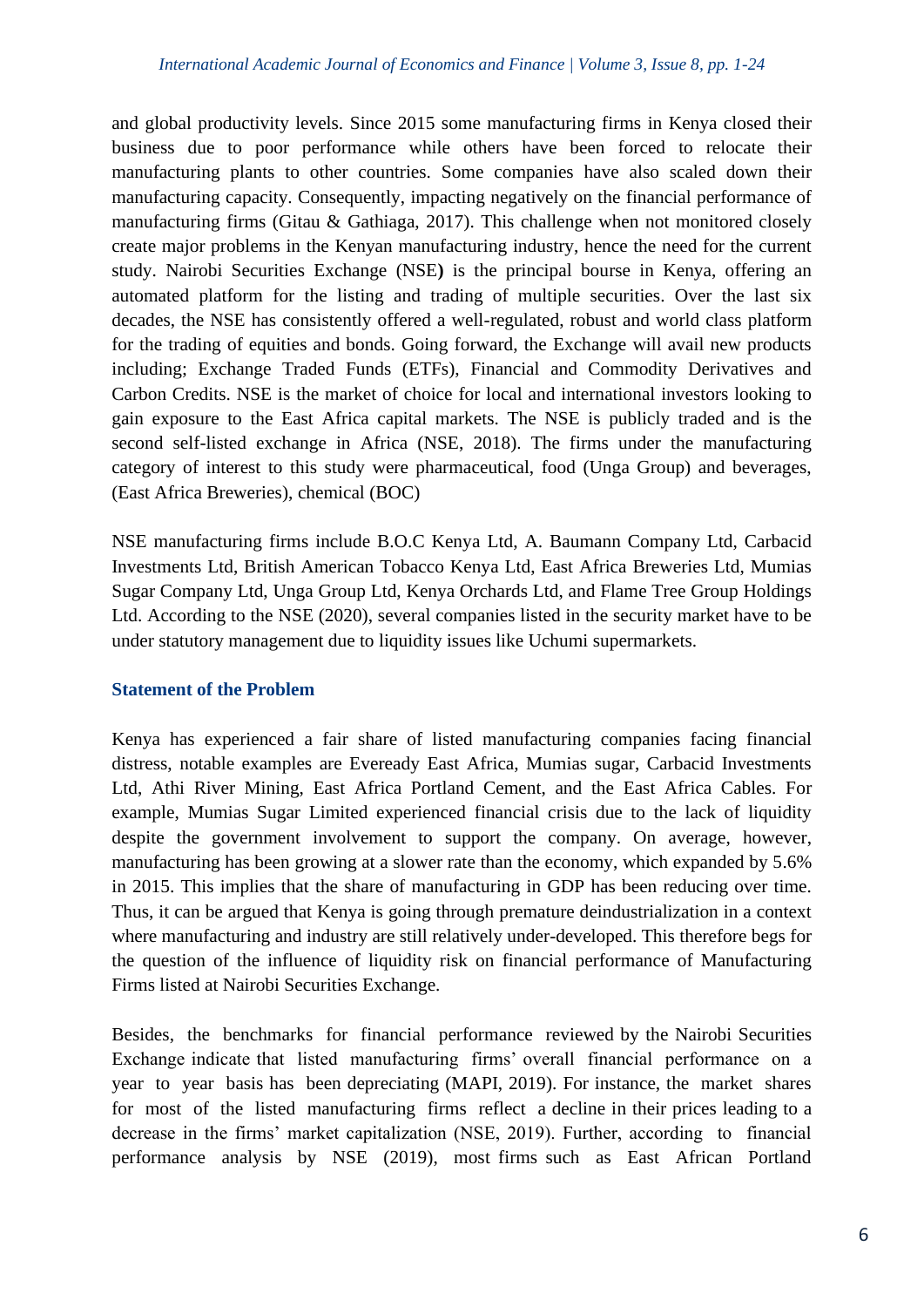and global productivity levels. Since 2015 some manufacturing firms in Kenya closed their business due to poor performance while others have been forced to relocate their manufacturing plants to other countries. Some companies have also scaled down their manufacturing capacity. Consequently, impacting negatively on the financial performance of manufacturing firms (Gitau & Gathiaga, 2017). This challenge when not monitored closely create major problems in the Kenyan manufacturing industry, hence the need for the current study. Nairobi Securities Exchange (NSE**)** is the principal bourse in Kenya, offering an automated platform for the listing and trading of multiple securities. Over the last six decades, the NSE has consistently offered a well-regulated, robust and world class platform for the trading of equities and bonds. Going forward, the Exchange will avail new products including; Exchange Traded Funds (ETFs), Financial and Commodity Derivatives and Carbon Credits. NSE is the market of choice for local and international investors looking to gain exposure to the East Africa capital markets. The NSE is publicly traded and is the second self-listed exchange in Africa (NSE, 2018). The firms under the manufacturing category of interest to this study were pharmaceutical, food (Unga Group) and beverages, (East Africa Breweries), chemical (BOC)

NSE manufacturing firms include B.O.C Kenya Ltd, A. Baumann Company Ltd, Carbacid Investments Ltd, British American Tobacco Kenya Ltd, East Africa Breweries Ltd, Mumias Sugar Company Ltd, Unga Group Ltd, Kenya Orchards Ltd, and Flame Tree Group Holdings Ltd. According to the NSE (2020), several companies listed in the security market have to be under statutory management due to liquidity issues like Uchumi supermarkets.

## **Statement of the Problem**

Kenya has experienced a fair share of listed manufacturing companies facing financial distress, notable examples are Eveready East Africa, Mumias sugar, Carbacid Investments Ltd, Athi River Mining, East Africa Portland Cement, and the East Africa Cables. For example, Mumias Sugar Limited experienced financial crisis due to the lack of liquidity despite the government involvement to support the company. On average, however, manufacturing has been growing at a slower rate than the economy, which expanded by 5.6% in 2015. This implies that the share of manufacturing in GDP has been reducing over time. Thus, it can be argued that Kenya is going through premature deindustrialization in a context where manufacturing and industry are still relatively under-developed. This therefore begs for the question of the influence of liquidity risk on financial performance of Manufacturing Firms listed at Nairobi Securities Exchange.

Besides, the benchmarks for financial performance reviewed by the Nairobi Securities Exchange indicate that listed manufacturing firms' overall financial performance on a year to year basis has been depreciating (MAPI, 2019). For instance, the market shares for most of the listed manufacturing firms reflect a decline in their prices leading to a decrease in the firms' market capitalization (NSE, 2019). Further, according to financial performance analysis by NSE (2019), most firms such as East African Portland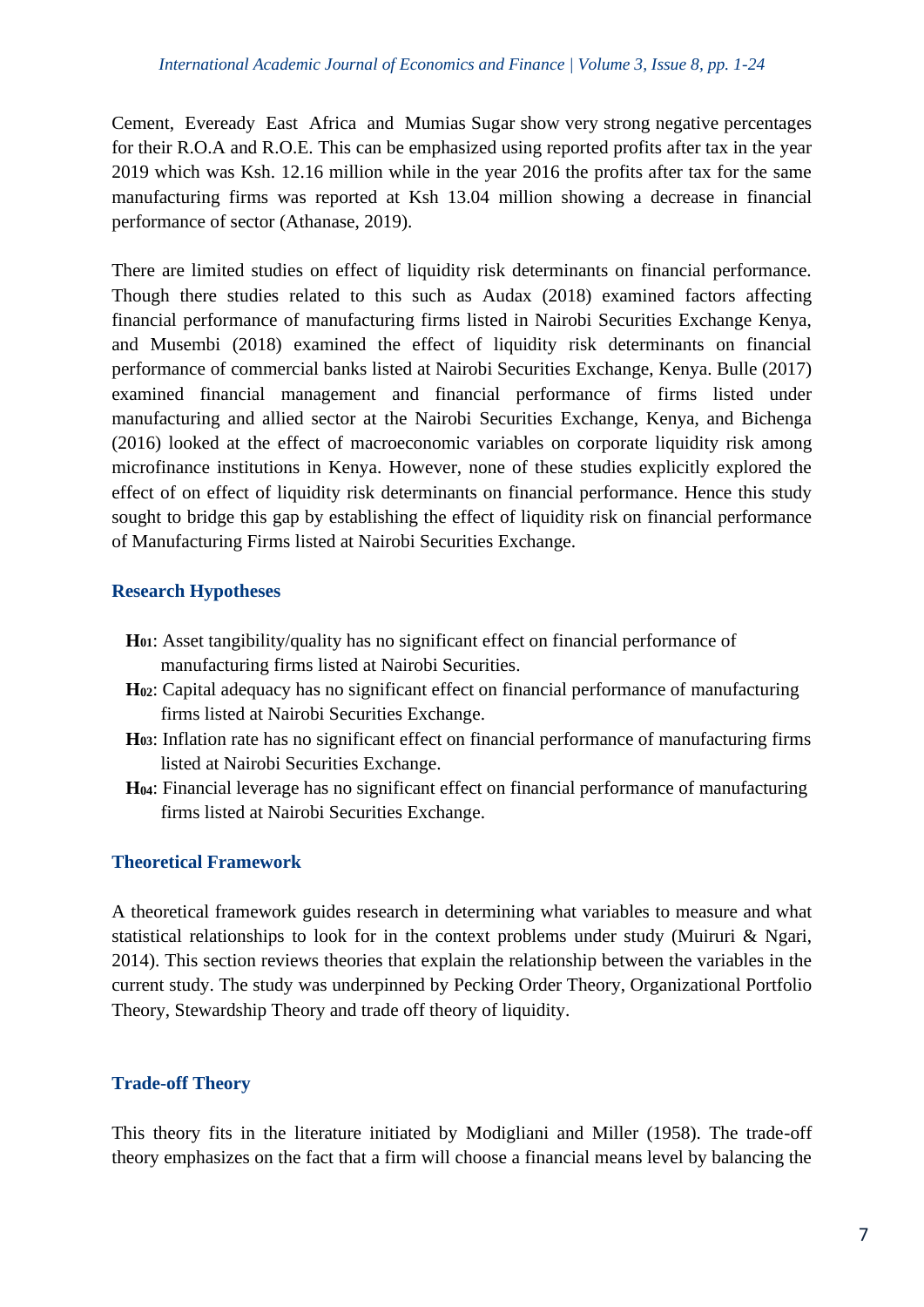Cement, Eveready East Africa and Mumias Sugar show very strong negative percentages for their R.O.A and R.O.E. This can be emphasized using reported profits after tax in the year 2019 which was Ksh. 12.16 million while in the year 2016 the profits after tax for the same manufacturing firms was reported at Ksh 13.04 million showing a decrease in financial performance of sector (Athanase, 2019).

There are limited studies on effect of liquidity risk determinants on financial performance. Though there studies related to this such as Audax (2018) examined factors affecting financial performance of manufacturing firms listed in Nairobi Securities Exchange Kenya, and Musembi (2018) examined the effect of liquidity risk determinants on financial performance of commercial banks listed at Nairobi Securities Exchange, Kenya. Bulle (2017) examined financial management and financial performance of firms listed under manufacturing and allied sector at the Nairobi Securities Exchange, Kenya, and Bichenga (2016) looked at the effect of macroeconomic variables on corporate liquidity risk among microfinance institutions in Kenya. However, none of these studies explicitly explored the effect of on effect of liquidity risk determinants on financial performance. Hence this study sought to bridge this gap by establishing the effect of liquidity risk on financial performance of Manufacturing Firms listed at Nairobi Securities Exchange.

# **Research Hypotheses**

- **H01**: Asset tangibility/quality has no significant effect on financial performance of manufacturing firms listed at Nairobi Securities.
- **H02**: Capital adequacy has no significant effect on financial performance of manufacturing firms listed at Nairobi Securities Exchange.
- **H03**: Inflation rate has no significant effect on financial performance of manufacturing firms listed at Nairobi Securities Exchange.
- **H04**: Financial leverage has no significant effect on financial performance of manufacturing firms listed at Nairobi Securities Exchange.

## **Theoretical Framework**

A theoretical framework guides research in determining what variables to measure and what statistical relationships to look for in the context problems under study (Muiruri & Ngari, 2014). This section reviews theories that explain the relationship between the variables in the current study. The study was underpinned by Pecking Order Theory, Organizational Portfolio Theory, Stewardship Theory and trade off theory of liquidity.

# **Trade-off Theory**

This theory fits in the literature initiated by Modigliani and Miller (1958). The trade-off theory emphasizes on the fact that a firm will choose a financial means level by balancing the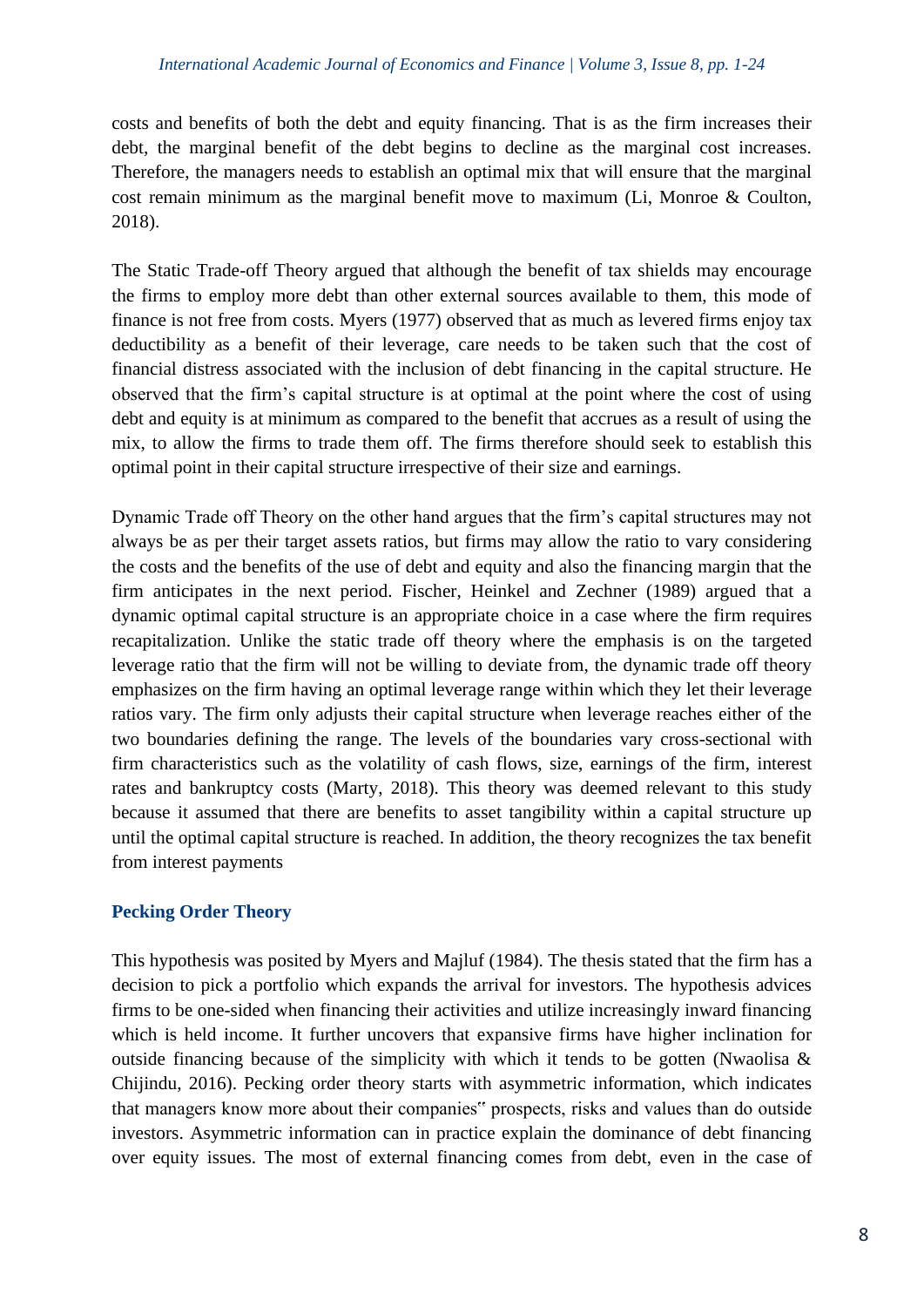costs and benefits of both the debt and equity financing. That is as the firm increases their debt, the marginal benefit of the debt begins to decline as the marginal cost increases. Therefore, the managers needs to establish an optimal mix that will ensure that the marginal cost remain minimum as the marginal benefit move to maximum (Li, Monroe & Coulton, 2018).

The Static Trade-off Theory argued that although the benefit of tax shields may encourage the firms to employ more debt than other external sources available to them, this mode of finance is not free from costs. Myers (1977) observed that as much as levered firms enjoy tax deductibility as a benefit of their leverage, care needs to be taken such that the cost of financial distress associated with the inclusion of debt financing in the capital structure. He observed that the firm's capital structure is at optimal at the point where the cost of using debt and equity is at minimum as compared to the benefit that accrues as a result of using the mix, to allow the firms to trade them off. The firms therefore should seek to establish this optimal point in their capital structure irrespective of their size and earnings.

Dynamic Trade off Theory on the other hand argues that the firm's capital structures may not always be as per their target assets ratios, but firms may allow the ratio to vary considering the costs and the benefits of the use of debt and equity and also the financing margin that the firm anticipates in the next period. Fischer, Heinkel and Zechner (1989) argued that a dynamic optimal capital structure is an appropriate choice in a case where the firm requires recapitalization. Unlike the static trade off theory where the emphasis is on the targeted leverage ratio that the firm will not be willing to deviate from, the dynamic trade off theory emphasizes on the firm having an optimal leverage range within which they let their leverage ratios vary. The firm only adjusts their capital structure when leverage reaches either of the two boundaries defining the range. The levels of the boundaries vary cross-sectional with firm characteristics such as the volatility of cash flows, size, earnings of the firm, interest rates and bankruptcy costs (Marty, 2018). This theory was deemed relevant to this study because it assumed that there are benefits to asset tangibility within a capital structure up until the optimal capital structure is reached. In addition, the theory recognizes the tax benefit from interest payments

# **Pecking Order Theory**

This hypothesis was posited by Myers and Majluf (1984). The thesis stated that the firm has a decision to pick a portfolio which expands the arrival for investors. The hypothesis advices firms to be one-sided when financing their activities and utilize increasingly inward financing which is held income. It further uncovers that expansive firms have higher inclination for outside financing because of the simplicity with which it tends to be gotten (Nwaolisa  $\&$ Chijindu, 2016). Pecking order theory starts with asymmetric information, which indicates that managers know more about their companies" prospects, risks and values than do outside investors. Asymmetric information can in practice explain the dominance of debt financing over equity issues. The most of external financing comes from debt, even in the case of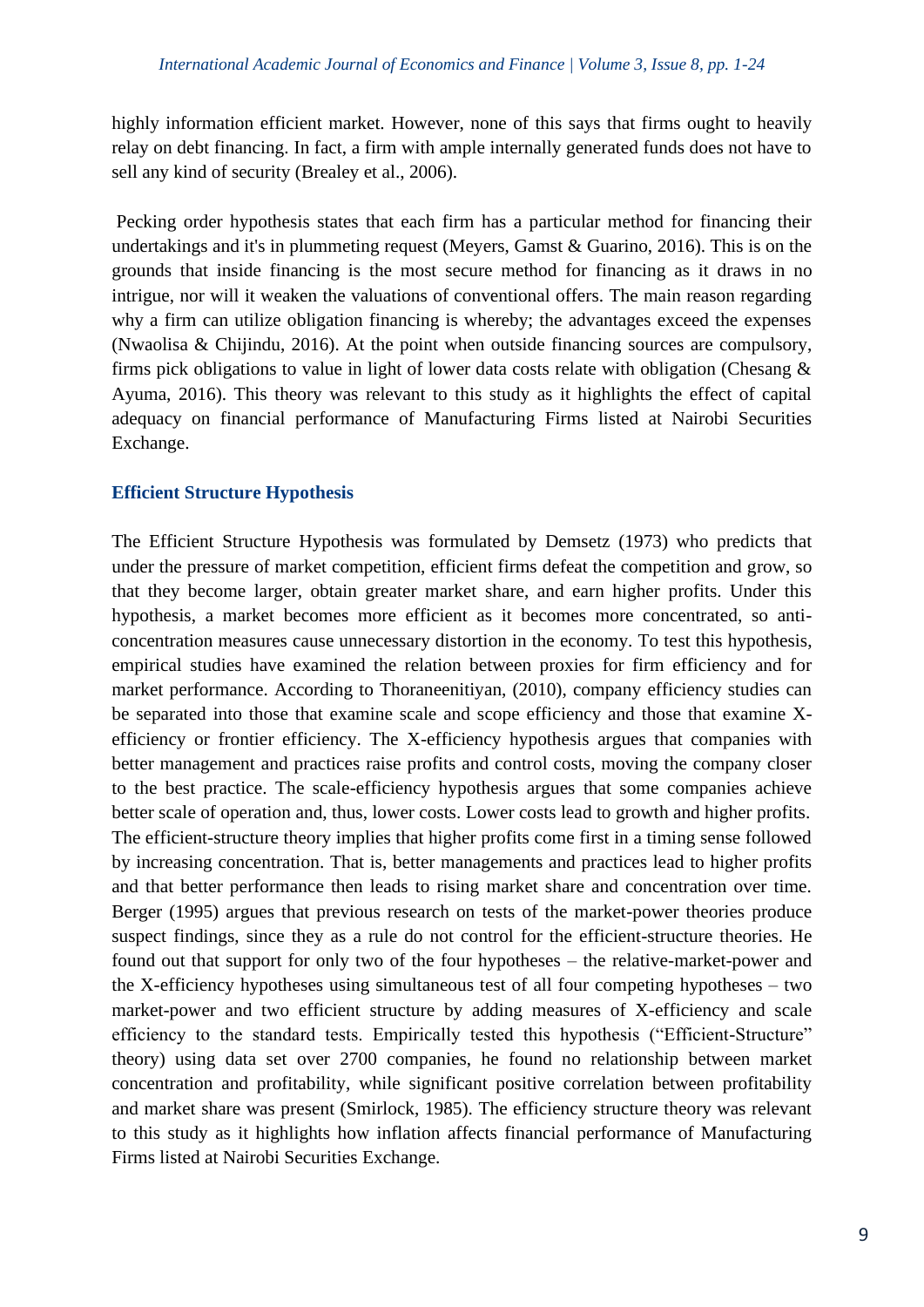highly information efficient market. However, none of this says that firms ought to heavily relay on debt financing. In fact, a firm with ample internally generated funds does not have to sell any kind of security (Brealey et al., 2006).

Pecking order hypothesis states that each firm has a particular method for financing their undertakings and it's in plummeting request (Meyers, Gamst & Guarino, 2016). This is on the grounds that inside financing is the most secure method for financing as it draws in no intrigue, nor will it weaken the valuations of conventional offers. The main reason regarding why a firm can utilize obligation financing is whereby; the advantages exceed the expenses (Nwaolisa & Chijindu, 2016). At the point when outside financing sources are compulsory, firms pick obligations to value in light of lower data costs relate with obligation (Chesang & Ayuma, 2016). This theory was relevant to this study as it highlights the effect of capital adequacy on financial performance of Manufacturing Firms listed at Nairobi Securities Exchange.

#### **Efficient Structure Hypothesis**

The Efficient Structure Hypothesis was formulated by Demsetz (1973) who predicts that under the pressure of market competition, efficient firms defeat the competition and grow, so that they become larger, obtain greater market share, and earn higher profits. Under this hypothesis, a market becomes more efficient as it becomes more concentrated, so anticoncentration measures cause unnecessary distortion in the economy. To test this hypothesis, empirical studies have examined the relation between proxies for firm efficiency and for market performance. According to Thoraneenitiyan, (2010), company efficiency studies can be separated into those that examine scale and scope efficiency and those that examine Xefficiency or frontier efficiency. The X-efficiency hypothesis argues that companies with better management and practices raise profits and control costs, moving the company closer to the best practice. The scale-efficiency hypothesis argues that some companies achieve better scale of operation and, thus, lower costs. Lower costs lead to growth and higher profits. The efficient-structure theory implies that higher profits come first in a timing sense followed by increasing concentration. That is, better managements and practices lead to higher profits and that better performance then leads to rising market share and concentration over time. Berger (1995) argues that previous research on tests of the market-power theories produce suspect findings, since they as a rule do not control for the efficient-structure theories. He found out that support for only two of the four hypotheses – the relative-market-power and the X-efficiency hypotheses using simultaneous test of all four competing hypotheses – two market-power and two efficient structure by adding measures of X-efficiency and scale efficiency to the standard tests. Empirically tested this hypothesis ("Efficient-Structure" theory) using data set over 2700 companies, he found no relationship between market concentration and profitability, while significant positive correlation between profitability and market share was present (Smirlock, 1985). The efficiency structure theory was relevant to this study as it highlights how inflation affects financial performance of Manufacturing Firms listed at Nairobi Securities Exchange.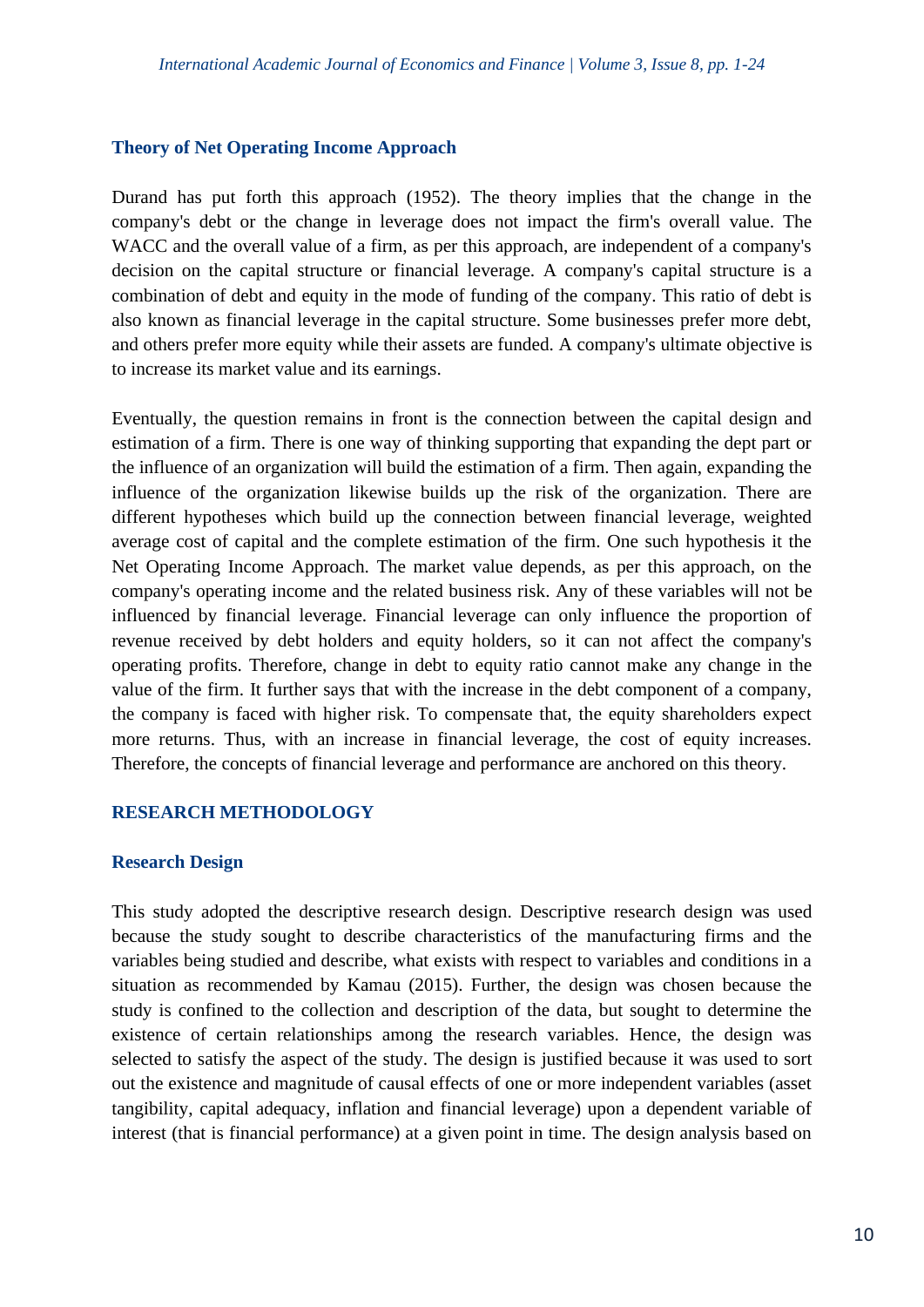#### **Theory of Net Operating Income Approach**

Durand has put forth this approach (1952). The theory implies that the change in the company's debt or the change in leverage does not impact the firm's overall value. The WACC and the overall value of a firm, as per this approach, are independent of a company's decision on the capital structure or financial leverage. A company's capital structure is a combination of debt and equity in the mode of funding of the company. This ratio of debt is also known as financial leverage in the capital structure. Some businesses prefer more debt, and others prefer more equity while their assets are funded. A company's ultimate objective is to increase its market value and its earnings.

Eventually, the question remains in front is the connection between the capital design and estimation of a firm. There is one way of thinking supporting that expanding the dept part or the influence of an organization will build the estimation of a firm. Then again, expanding the influence of the organization likewise builds up the risk of the organization. There are different hypotheses which build up the connection between financial leverage, weighted average cost of capital and the complete estimation of the firm. One such hypothesis it the Net Operating Income Approach. The market value depends, as per this approach, on the company's operating income and the related business risk. Any of these variables will not be influenced by financial leverage. Financial leverage can only influence the proportion of revenue received by debt holders and equity holders, so it can not affect the company's operating profits. Therefore, change in debt to equity ratio cannot make any change in the value of the firm. It further says that with the increase in the debt component of a company, the company is faced with higher risk. To compensate that, the equity shareholders expect more returns. Thus, with an increase in financial leverage, the cost of equity increases. Therefore, the concepts of financial leverage and performance are anchored on this theory.

## **RESEARCH METHODOLOGY**

#### **Research Design**

This study adopted the descriptive research design. Descriptive research design was used because the study sought to describe characteristics of the manufacturing firms and the variables being studied and describe, what exists with respect to variables and conditions in a situation as recommended by Kamau (2015). Further, the design was chosen because the study is confined to the collection and description of the data, but sought to determine the existence of certain relationships among the research variables. Hence, the design was selected to satisfy the aspect of the study. The design is justified because it was used to sort out the existence and magnitude of causal effects of one or more independent variables (asset tangibility, capital adequacy, inflation and financial leverage) upon a dependent variable of interest (that is financial performance) at a given point in time. The design analysis based on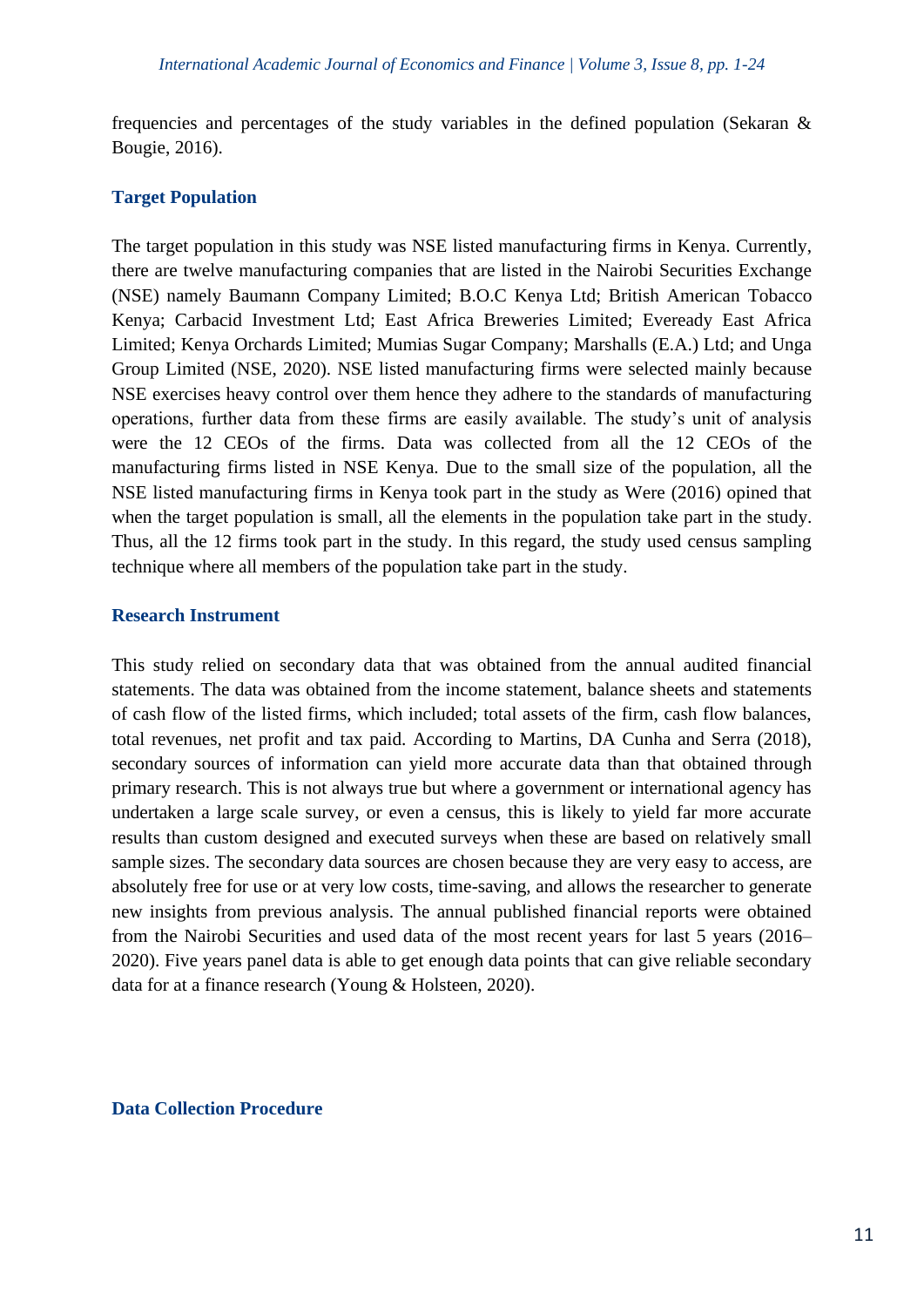frequencies and percentages of the study variables in the defined population (Sekaran & Bougie, 2016).

#### **Target Population**

The target population in this study was NSE listed manufacturing firms in Kenya. Currently, there are twelve manufacturing companies that are listed in the Nairobi Securities Exchange (NSE) namely Baumann Company Limited; B.O.C Kenya Ltd; British American Tobacco Kenya; Carbacid Investment Ltd; East Africa Breweries Limited; Eveready East Africa Limited; Kenya Orchards Limited; Mumias Sugar Company; Marshalls (E.A.) Ltd; and Unga Group Limited (NSE, 2020). NSE listed manufacturing firms were selected mainly because NSE exercises heavy control over them hence they adhere to the standards of manufacturing operations, further data from these firms are easily available. The study's unit of analysis were the 12 CEOs of the firms. Data was collected from all the 12 CEOs of the manufacturing firms listed in NSE Kenya. Due to the small size of the population, all the NSE listed manufacturing firms in Kenya took part in the study as Were (2016) opined that when the target population is small, all the elements in the population take part in the study. Thus, all the 12 firms took part in the study. In this regard, the study used census sampling technique where all members of the population take part in the study.

#### **Research Instrument**

This study relied on secondary data that was obtained from the annual audited financial statements. The data was obtained from the income statement, balance sheets and statements of cash flow of the listed firms, which included; total assets of the firm, cash flow balances, total revenues, net profit and tax paid. According to Martins, DA Cunha and Serra (2018), secondary sources of information can yield more accurate data than that obtained through primary research. This is not always true but where a government or international agency has undertaken a large scale survey, or even a census, this is likely to yield far more accurate results than custom designed and executed surveys when these are based on relatively small sample sizes. The secondary data sources are chosen because they are very easy to access, are absolutely free for use or at very low costs, time-saving, and allows the researcher to generate new insights from previous analysis. The annual published financial reports were obtained from the Nairobi Securities and used data of the most recent years for last 5 years (2016– 2020). Five years panel data is able to get enough data points that can give reliable secondary data for at a finance research (Young & Holsteen, 2020).

#### **Data Collection Procedure**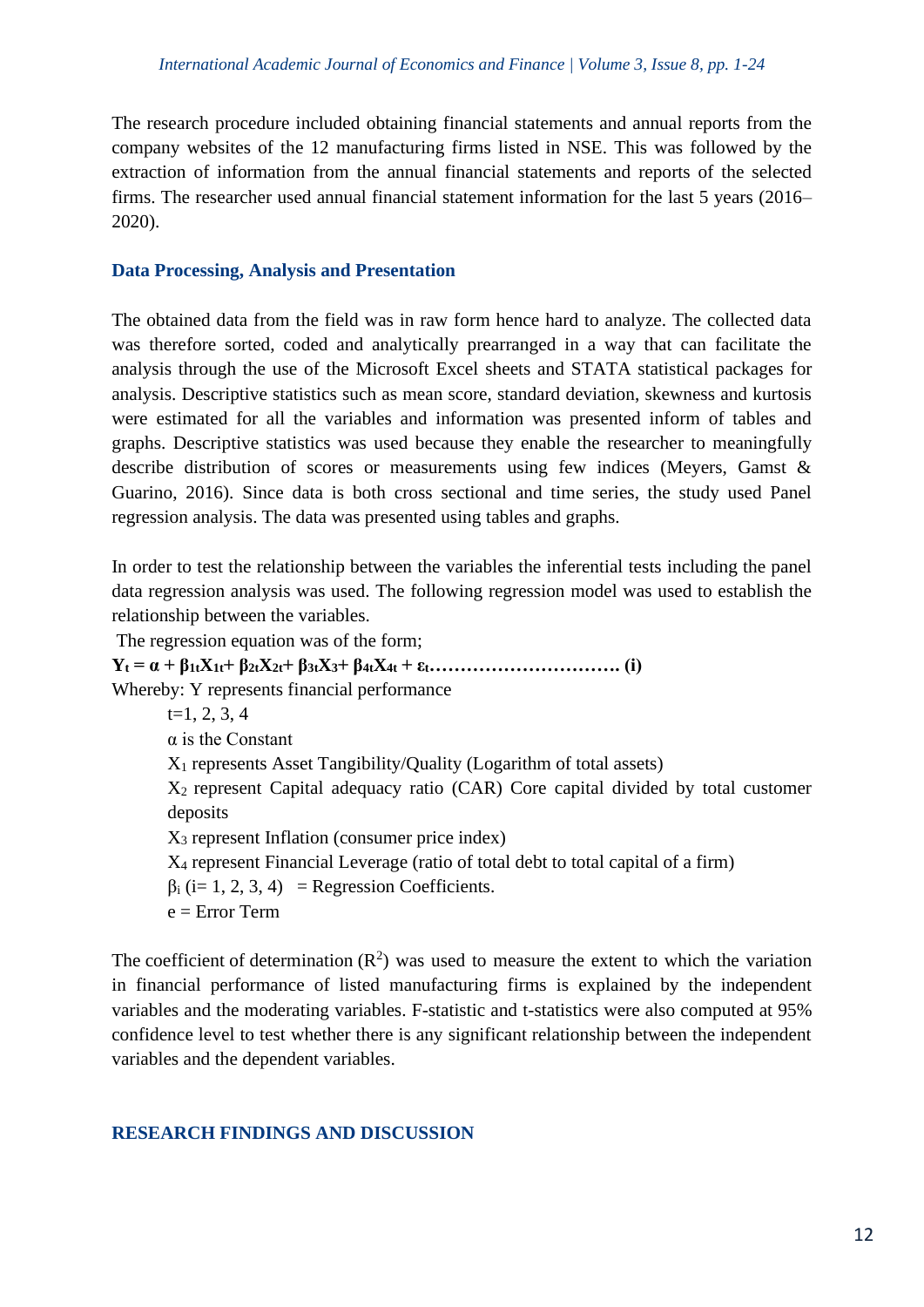The research procedure included obtaining financial statements and annual reports from the company websites of the 12 manufacturing firms listed in NSE. This was followed by the extraction of information from the annual financial statements and reports of the selected firms. The researcher used annual financial statement information for the last 5 years (2016– 2020).

## **Data Processing, Analysis and Presentation**

The obtained data from the field was in raw form hence hard to analyze. The collected data was therefore sorted, coded and analytically prearranged in a way that can facilitate the analysis through the use of the Microsoft Excel sheets and STATA statistical packages for analysis. Descriptive statistics such as mean score, standard deviation, skewness and kurtosis were estimated for all the variables and information was presented inform of tables and graphs. Descriptive statistics was used because they enable the researcher to meaningfully describe distribution of scores or measurements using few indices (Meyers, Gamst & Guarino, 2016). Since data is both cross sectional and time series, the study used Panel regression analysis. The data was presented using tables and graphs.

In order to test the relationship between the variables the inferential tests including the panel data regression analysis was used. The following regression model was used to establish the relationship between the variables.

The regression equation was of the form; **Y<sup>t</sup> = α + β1tX1t+ β2tX2t+ β3tX3+ β4tX4t + εt…………………………. (i)** Whereby: Y represents financial performance  $t=1, 2, 3, 4$ α is the Constant X<sup>1</sup> represents Asset Tangibility/Quality (Logarithm of total assets) X2 represent Capital adequacy ratio (CAR) Core capital divided by total customer deposits X<sup>3</sup> represent Inflation (consumer price index) X<sup>4</sup> represent Financial Leverage (ratio of total debt to total capital of a firm)  $\beta_i$  (i= 1, 2, 3, 4) = Regression Coefficients.  $e =$  Error Term

The coefficient of determination  $(R^2)$  was used to measure the extent to which the variation in financial performance of listed manufacturing firms is explained by the independent variables and the moderating variables. F-statistic and t-statistics were also computed at 95% confidence level to test whether there is any significant relationship between the independent variables and the dependent variables.

## **RESEARCH FINDINGS AND DISCUSSION**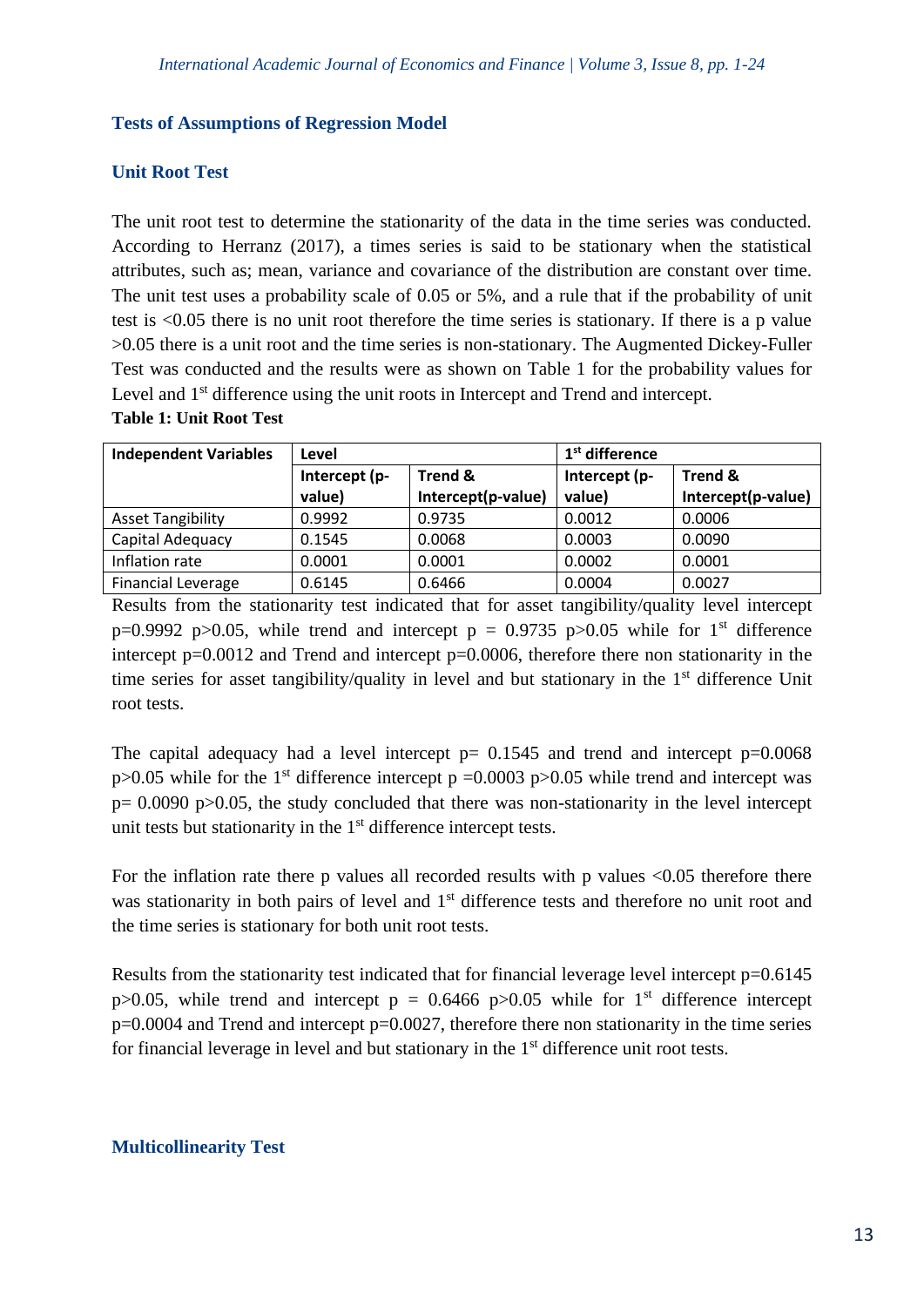#### **Tests of Assumptions of Regression Model**

## **Unit Root Test**

The unit root test to determine the stationarity of the data in the time series was conducted. According to Herranz (2017), a times series is said to be stationary when the statistical attributes, such as; mean, variance and covariance of the distribution are constant over time. The unit test uses a probability scale of 0.05 or 5%, and a rule that if the probability of unit test is <0.05 there is no unit root therefore the time series is stationary. If there is a p value >0.05 there is a unit root and the time series is non-stationary. The Augmented Dickey-Fuller Test was conducted and the results were as shown on Table 1 for the probability values for Level and 1<sup>st</sup> difference using the unit roots in Intercept and Trend and intercept.

#### **Table 1: Unit Root Test**

| <b>Independent Variables</b> | Level                    |                    | 1 <sup>st</sup> difference |                    |  |
|------------------------------|--------------------------|--------------------|----------------------------|--------------------|--|
|                              | Trend &<br>Intercept (p- |                    | Intercept (p-              | <b>Trend &amp;</b> |  |
|                              | value)                   | Intercept(p-value) | value)                     | Intercept(p-value) |  |
| <b>Asset Tangibility</b>     | 0.9992                   | 0.9735             | 0.0012                     | 0.0006             |  |
| Capital Adequacy             | 0.1545                   | 0.0068             | 0.0003                     | 0.0090             |  |
| Inflation rate               | 0.0001                   | 0.0001             | 0.0002                     | 0.0001             |  |
| <b>Financial Leverage</b>    | 0.6145                   | 0.6466             | 0.0004                     | 0.0027             |  |

Results from the stationarity test indicated that for asset tangibility/quality level intercept p=0.9992 p>0.05, while trend and intercept p = 0.9735 p>0.05 while for 1<sup>st</sup> difference intercept p=0.0012 and Trend and intercept p=0.0006, therefore there non stationarity in the time series for asset tangibility/quality in level and but stationary in the 1<sup>st</sup> difference Unit root tests.

The capital adequacy had a level intercept  $p= 0.1545$  and trend and intercept  $p=0.0068$  $p>0.05$  while for the 1<sup>st</sup> difference intercept p =0.0003 p $>0.05$  while trend and intercept was  $p= 0.0090$  p $> 0.05$ , the study concluded that there was non-stationarity in the level intercept unit tests but stationarity in the 1<sup>st</sup> difference intercept tests.

For the inflation rate there p values all recorded results with p values  $\langle 0.05 \rangle$  therefore there was stationarity in both pairs of level and 1<sup>st</sup> difference tests and therefore no unit root and the time series is stationary for both unit root tests.

Results from the stationarity test indicated that for financial leverage level intercept  $p=0.6145$ p $>0.05$ , while trend and intercept p = 0.6466 p $>0.05$  while for 1<sup>st</sup> difference intercept  $p=0.0004$  and Trend and intercept  $p=0.0027$ , therefore there non stationarity in the time series for financial leverage in level and but stationary in the  $1<sup>st</sup>$  difference unit root tests.

## **Multicollinearity Test**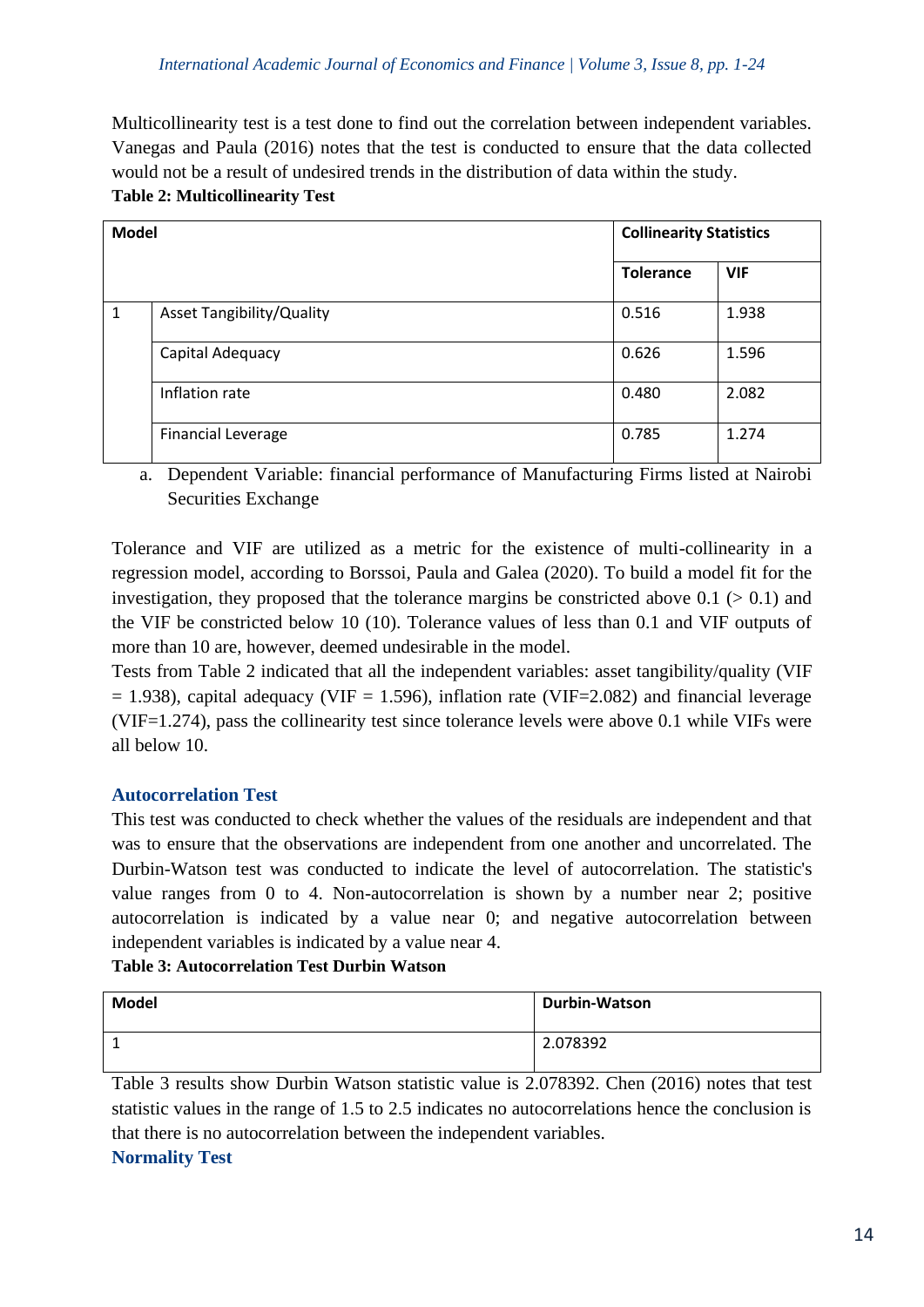Multicollinearity test is a test done to find out the correlation between independent variables. Vanegas and Paula (2016) notes that the test is conducted to ensure that the data collected would not be a result of undesired trends in the distribution of data within the study. **Table 2: Multicollinearity Test** 

| <b>Model</b> |                                  | <b>Collinearity Statistics</b> |            |  |
|--------------|----------------------------------|--------------------------------|------------|--|
|              |                                  | <b>Tolerance</b>               | <b>VIF</b> |  |
| $\mathbf{1}$ | <b>Asset Tangibility/Quality</b> | 0.516                          | 1.938      |  |
|              | Capital Adequacy                 | 0.626                          | 1.596      |  |
|              | Inflation rate                   | 0.480                          | 2.082      |  |
|              | <b>Financial Leverage</b>        | 0.785                          | 1.274      |  |

a. Dependent Variable: financial performance of Manufacturing Firms listed at Nairobi Securities Exchange

Tolerance and VIF are utilized as a metric for the existence of multi-collinearity in a regression model, according to Borssoi, Paula and Galea (2020). To build a model fit for the investigation, they proposed that the tolerance margins be constricted above  $0.1$  ( $> 0.1$ ) and the VIF be constricted below 10 (10). Tolerance values of less than 0.1 and VIF outputs of more than 10 are, however, deemed undesirable in the model.

Tests from Table 2 indicated that all the independent variables: asset tangibility/quality (VIF  $= 1.938$ ), capital adequacy (VIF  $= 1.596$ ), inflation rate (VIF=2.082) and financial leverage (VIF=1.274), pass the collinearity test since tolerance levels were above 0.1 while VIFs were all below 10.

## **Autocorrelation Test**

This test was conducted to check whether the values of the residuals are independent and that was to ensure that the observations are independent from one another and uncorrelated. The Durbin-Watson test was conducted to indicate the level of autocorrelation. The statistic's value ranges from 0 to 4. Non-autocorrelation is shown by a number near 2; positive autocorrelation is indicated by a value near 0; and negative autocorrelation between independent variables is indicated by a value near 4.

**Table 3: Autocorrelation Test Durbin Watson**

| <b>Model</b> | <b>Durbin-Watson</b> |
|--------------|----------------------|
|              | 2.078392             |

Table 3 results show Durbin Watson statistic value is 2.078392. Chen (2016) notes that test statistic values in the range of 1.5 to 2.5 indicates no autocorrelations hence the conclusion is that there is no autocorrelation between the independent variables.

# **Normality Test**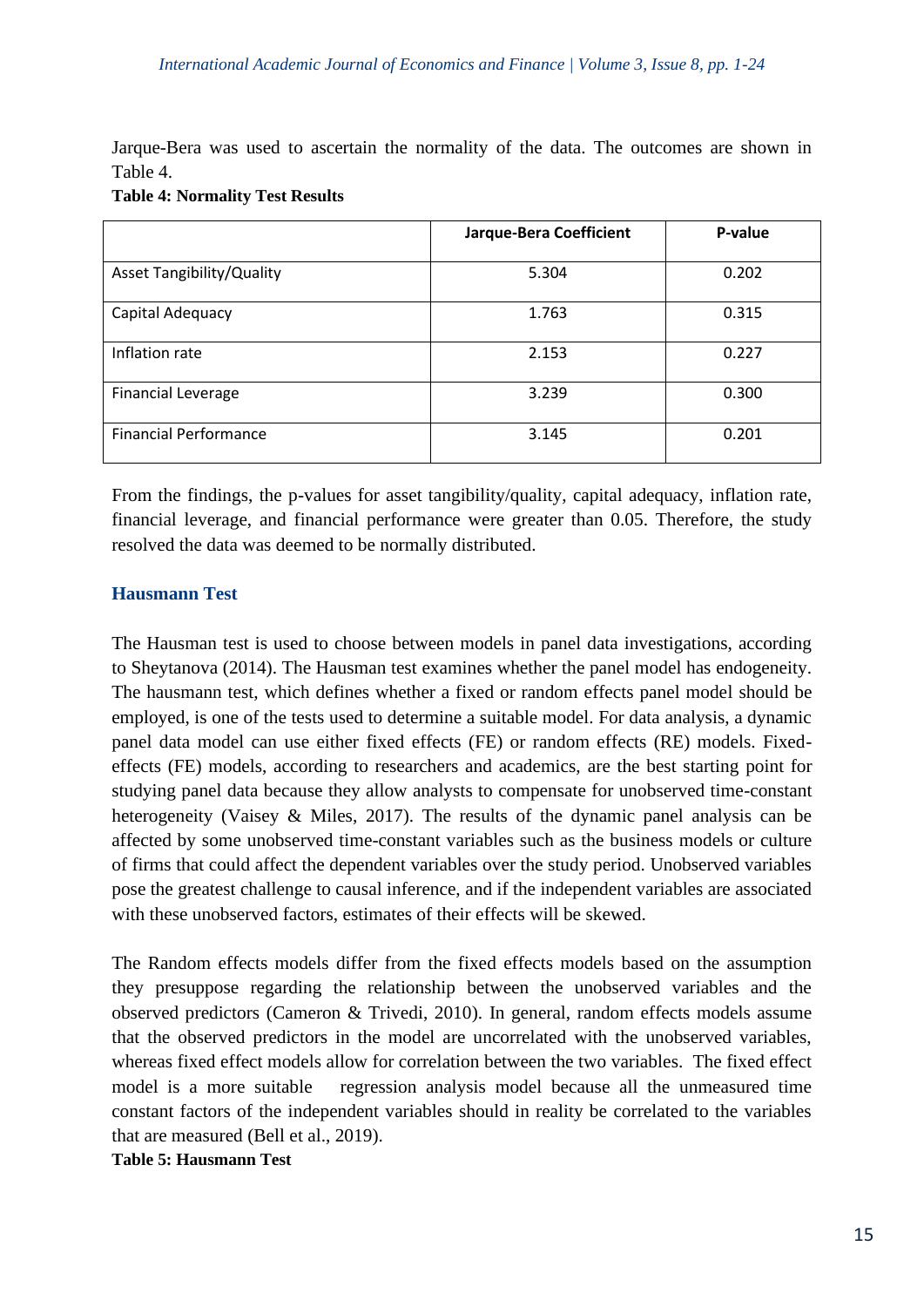Jarque-Bera was used to ascertain the normality of the data. The outcomes are shown in Table 4.

|                                  | Jarque-Bera Coefficient | P-value |
|----------------------------------|-------------------------|---------|
| <b>Asset Tangibility/Quality</b> | 5.304                   | 0.202   |
| Capital Adequacy                 | 1.763                   | 0.315   |
| Inflation rate                   | 2.153                   | 0.227   |
| <b>Financial Leverage</b>        | 3.239                   | 0.300   |
| <b>Financial Performance</b>     | 3.145                   | 0.201   |

From the findings, the p-values for asset tangibility/quality, capital adequacy, inflation rate, financial leverage, and financial performance were greater than 0.05. Therefore, the study resolved the data was deemed to be normally distributed.

# **Hausmann Test**

The Hausman test is used to choose between models in panel data investigations, according to Sheytanova (2014). The Hausman test examines whether the panel model has endogeneity. The hausmann test, which defines whether a fixed or random effects panel model should be employed, is one of the tests used to determine a suitable model. For data analysis, a dynamic panel data model can use either fixed effects (FE) or random effects (RE) models. Fixedeffects (FE) models, according to researchers and academics, are the best starting point for studying panel data because they allow analysts to compensate for unobserved time-constant heterogeneity (Vaisey & Miles, 2017). The results of the dynamic panel analysis can be affected by some unobserved time-constant variables such as the business models or culture of firms that could affect the dependent variables over the study period. Unobserved variables pose the greatest challenge to causal inference, and if the independent variables are associated with these unobserved factors, estimates of their effects will be skewed.

The Random effects models differ from the fixed effects models based on the assumption they presuppose regarding the relationship between the unobserved variables and the observed predictors (Cameron & Trivedi, 2010). In general, random effects models assume that the observed predictors in the model are uncorrelated with the unobserved variables, whereas fixed effect models allow for correlation between the two variables. The fixed effect model is a more suitable regression analysis model because all the unmeasured time constant factors of the independent variables should in reality be correlated to the variables that are measured (Bell et al., 2019).

#### **Table 5: Hausmann Test**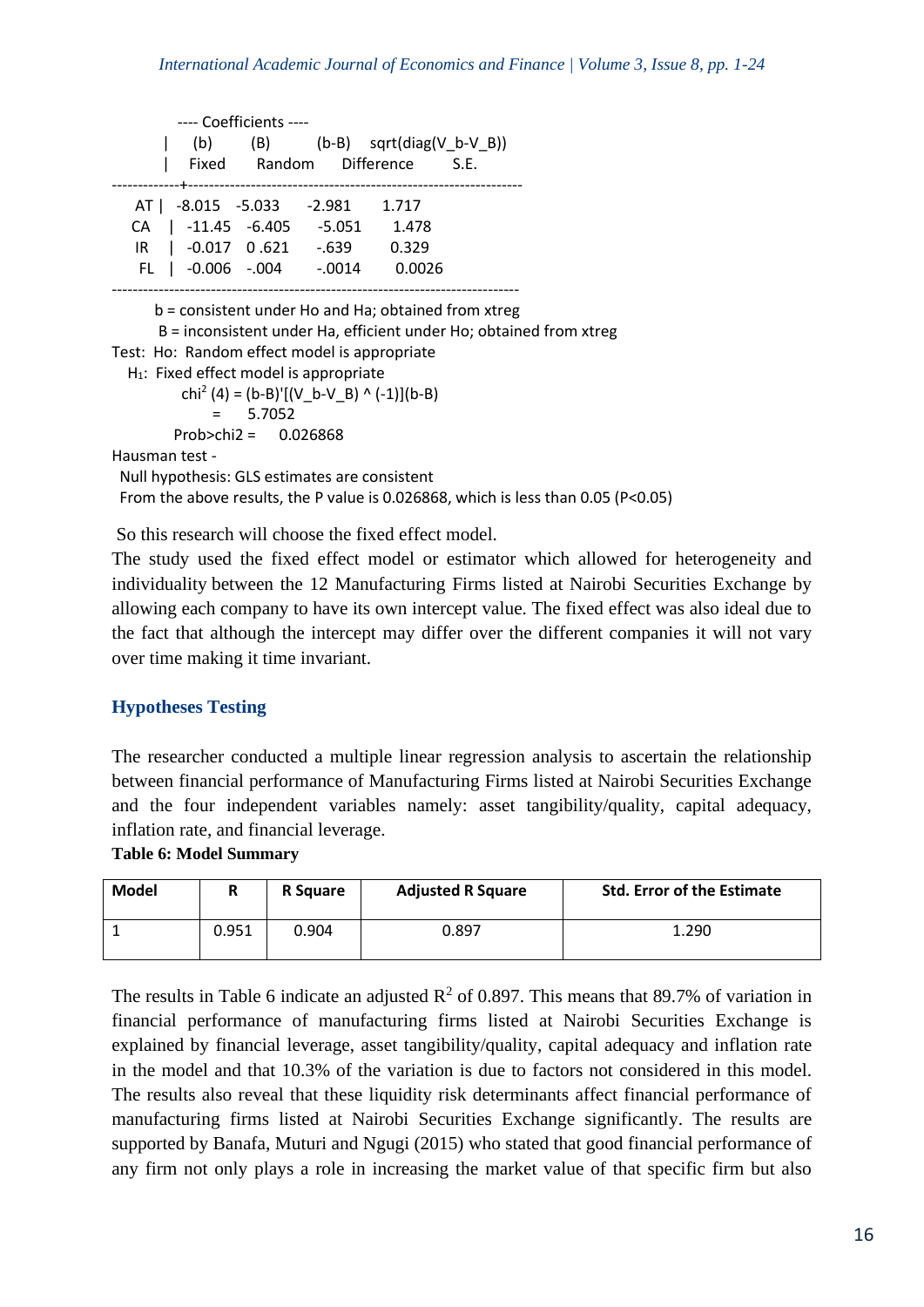|                           | ---- Coefficients ---- |          |                                 |  |
|---------------------------|------------------------|----------|---------------------------------|--|
| (b)                       |                        |          | $(B)$ (b-B) sqrt(diag(V b-V B)) |  |
|                           |                        |          | Fixed Random Difference S.E.    |  |
|                           |                        |          |                                 |  |
| AT   -8.015 -5.033 -2.981 |                        |          | 1.717                           |  |
| CA   -11.45 -6.405 -5.051 |                        |          | 1.478                           |  |
| IR   -0.017 0.621 -.639   |                        |          | 0.329                           |  |
| FL   -0.006 -.004         |                        | $-.0014$ | 0.0026                          |  |
|                           |                        |          |                                 |  |

b = consistent under Ho and Ha; obtained from xtreg

B = inconsistent under Ha, efficient under Ho; obtained from xtreg

- Test: Ho: Random effect model is appropriate
- H<sub>1</sub>: Fixed effect model is appropriate

 chi<sup>2</sup> (4) = (b-B)'[(V\_b-V\_B) ^ (-1)](b-B) = 5.7052 Prob>chi2 = 0.026868

Hausman test -

Null hypothesis: GLS estimates are consistent

From the above results, the P value is 0.026868, which is less than 0.05 (P<0.05)

So this research will choose the fixed effect model.

The study used the fixed effect model or estimator which allowed for heterogeneity and individuality between the 12 Manufacturing Firms listed at Nairobi Securities Exchange by allowing each company to have its own intercept value. The fixed effect was also ideal due to the fact that although the intercept may differ over the different companies it will not vary over time making it time invariant.

#### **Hypotheses Testing**

The researcher conducted a multiple linear regression analysis to ascertain the relationship between financial performance of Manufacturing Firms listed at Nairobi Securities Exchange and the four independent variables namely: asset tangibility/quality, capital adequacy, inflation rate, and financial leverage.

**Table 6: Model Summary**

| <b>Model</b> | n     | R Square | <b>Adjusted R Square</b> | <b>Std. Error of the Estimate</b> |
|--------------|-------|----------|--------------------------|-----------------------------------|
|              | 0.951 | 0.904    | 0.897                    | 1.290                             |

The results in Table 6 indicate an adjusted  $\mathbb{R}^2$  of 0.897. This means that 89.7% of variation in financial performance of manufacturing firms listed at Nairobi Securities Exchange is explained by financial leverage, asset tangibility/quality, capital adequacy and inflation rate in the model and that 10.3% of the variation is due to factors not considered in this model. The results also reveal that these liquidity risk determinants affect financial performance of manufacturing firms listed at Nairobi Securities Exchange significantly. The results are supported by Banafa, Muturi and Ngugi (2015) who stated that good financial performance of any firm not only plays a role in increasing the market value of that specific firm but also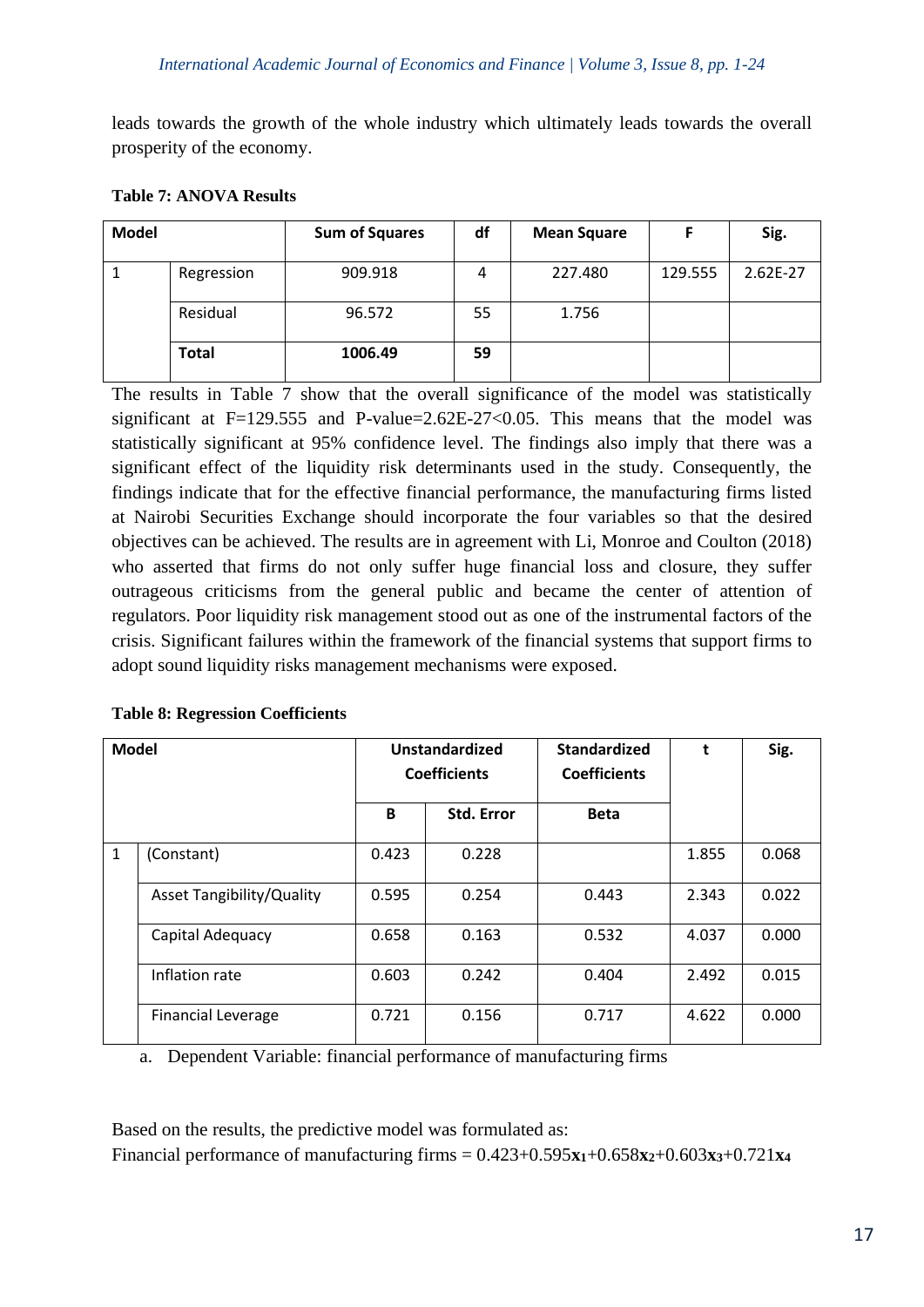leads towards the growth of the whole industry which ultimately leads towards the overall prosperity of the economy.

| <b>Model</b> |              | <b>Sum of Squares</b> | df | <b>Mean Square</b> |         | Sig.       |
|--------------|--------------|-----------------------|----|--------------------|---------|------------|
|              | Regression   | 909.918               | 4  | 227.480            | 129.555 | $2.62E-27$ |
|              | Residual     | 96.572                | 55 | 1.756              |         |            |
|              | <b>Total</b> | 1006.49               | 59 |                    |         |            |

## **Table 7: ANOVA Results**

The results in Table 7 show that the overall significance of the model was statistically significant at  $F=129.555$  and P-value=2.62E-27<0.05. This means that the model was statistically significant at 95% confidence level. The findings also imply that there was a significant effect of the liquidity risk determinants used in the study. Consequently, the findings indicate that for the effective financial performance, the manufacturing firms listed at Nairobi Securities Exchange should incorporate the four variables so that the desired objectives can be achieved. The results are in agreement with Li, Monroe and Coulton (2018) who asserted that firms do not only suffer huge financial loss and closure, they suffer outrageous criticisms from the general public and became the center of attention of regulators. Poor liquidity risk management stood out as one of the instrumental factors of the crisis. Significant failures within the framework of the financial systems that support firms to adopt sound liquidity risks management mechanisms were exposed.

| <b>Table 8: Regression Coefficients</b> |  |
|-----------------------------------------|--|
|-----------------------------------------|--|

| <b>Model</b> |                                  | Unstandardized<br><b>Coefficients</b> |                   | <b>Standardized</b><br><b>Coefficients</b> |       | Sig.  |
|--------------|----------------------------------|---------------------------------------|-------------------|--------------------------------------------|-------|-------|
|              |                                  | B                                     | <b>Std. Error</b> | <b>Beta</b>                                |       |       |
| $\mathbf{1}$ | (Constant)                       | 0.423                                 | 0.228             |                                            | 1.855 | 0.068 |
|              | <b>Asset Tangibility/Quality</b> | 0.595                                 | 0.254             | 0.443                                      | 2.343 | 0.022 |
|              | Capital Adequacy                 | 0.658                                 | 0.163             | 0.532                                      | 4.037 | 0.000 |
|              | Inflation rate                   | 0.603                                 | 0.242             | 0.404                                      | 2.492 | 0.015 |
|              | <b>Financial Leverage</b>        | 0.721                                 | 0.156             | 0.717                                      | 4.622 | 0.000 |

a. Dependent Variable: financial performance of manufacturing firms

Based on the results, the predictive model was formulated as: Financial performance of manufacturing firms =  $0.423+0.595x_1+0.658x_2+0.603x_3+0.721x_4$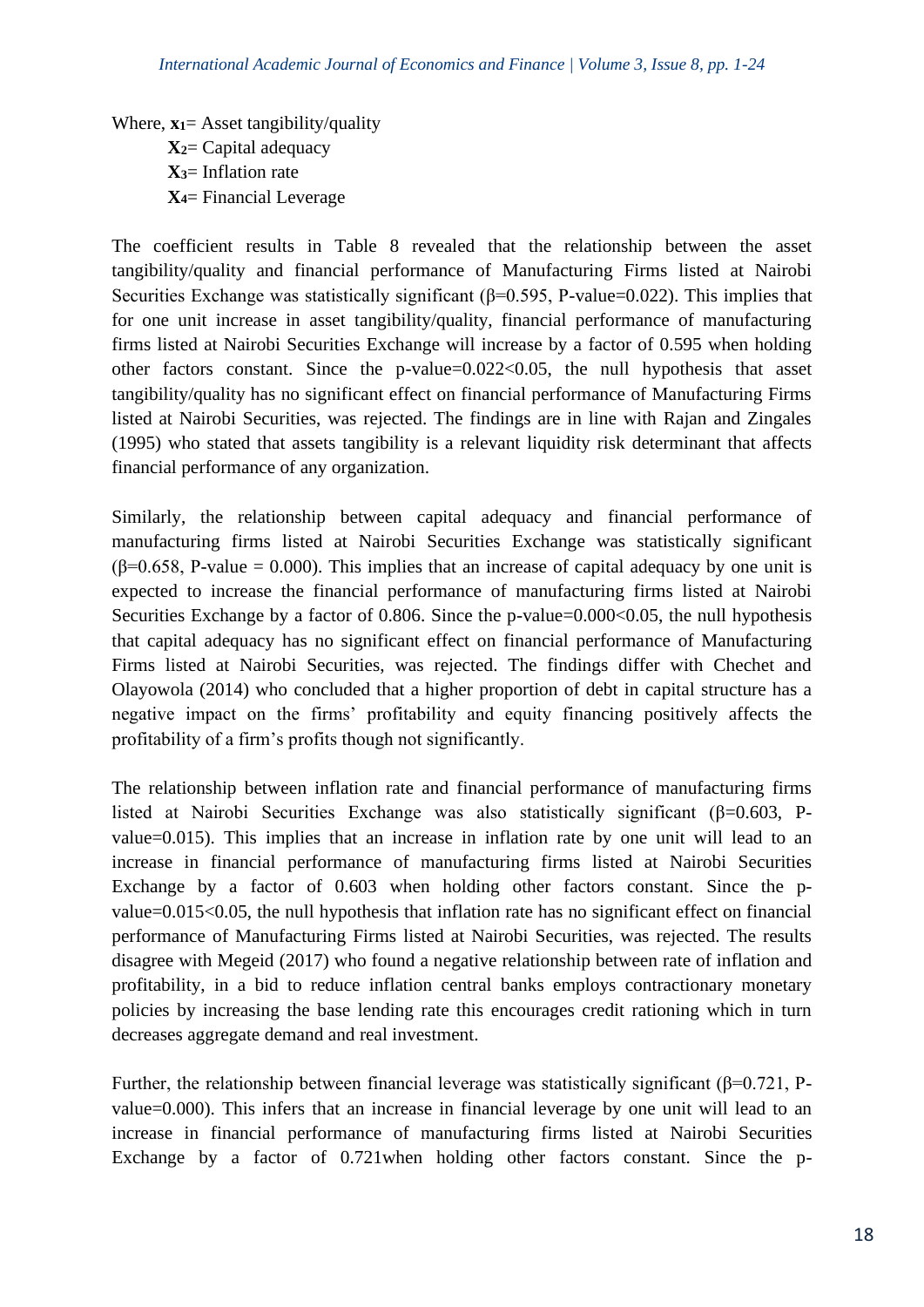Where, **x1**= Asset tangibility/quality **X2**= Capital adequacy **X3**= Inflation rate **X4**= Financial Leverage

The coefficient results in Table 8 revealed that the relationship between the asset tangibility/quality and financial performance of Manufacturing Firms listed at Nairobi Securities Exchange was statistically significant ( $\beta$ =0.595, P-value=0.022). This implies that for one unit increase in asset tangibility/quality, financial performance of manufacturing firms listed at Nairobi Securities Exchange will increase by a factor of 0.595 when holding other factors constant. Since the p-value= $0.022 \le 0.05$ , the null hypothesis that asset tangibility/quality has no significant effect on financial performance of Manufacturing Firms listed at Nairobi Securities, was rejected. The findings are in line with Rajan and Zingales (1995) who stated that assets tangibility is a relevant liquidity risk determinant that affects financial performance of any organization.

Similarly, the relationship between capital adequacy and financial performance of manufacturing firms listed at Nairobi Securities Exchange was statistically significant  $(\beta=0.658, P-value = 0.000)$ . This implies that an increase of capital adequacy by one unit is expected to increase the financial performance of manufacturing firms listed at Nairobi Securities Exchange by a factor of 0.806. Since the p-value=0.000<0.05, the null hypothesis that capital adequacy has no significant effect on financial performance of Manufacturing Firms listed at Nairobi Securities, was rejected. The findings differ with Chechet and Olayowola (2014) who concluded that a higher proportion of debt in capital structure has a negative impact on the firms' profitability and equity financing positively affects the profitability of a firm's profits though not significantly.

The relationship between inflation rate and financial performance of manufacturing firms listed at Nairobi Securities Exchange was also statistically significant ( $\beta$ =0.603, Pvalue=0.015). This implies that an increase in inflation rate by one unit will lead to an increase in financial performance of manufacturing firms listed at Nairobi Securities Exchange by a factor of 0.603 when holding other factors constant. Since the pvalue=0.015<0.05, the null hypothesis that inflation rate has no significant effect on financial performance of Manufacturing Firms listed at Nairobi Securities, was rejected. The results disagree with Megeid (2017) who found a negative relationship between rate of inflation and profitability, in a bid to reduce inflation central banks employs contractionary monetary policies by increasing the base lending rate this encourages credit rationing which in turn decreases aggregate demand and real investment.

Further, the relationship between financial leverage was statistically significant ( $\beta$ =0.721, Pvalue=0.000). This infers that an increase in financial leverage by one unit will lead to an increase in financial performance of manufacturing firms listed at Nairobi Securities Exchange by a factor of 0.721when holding other factors constant. Since the p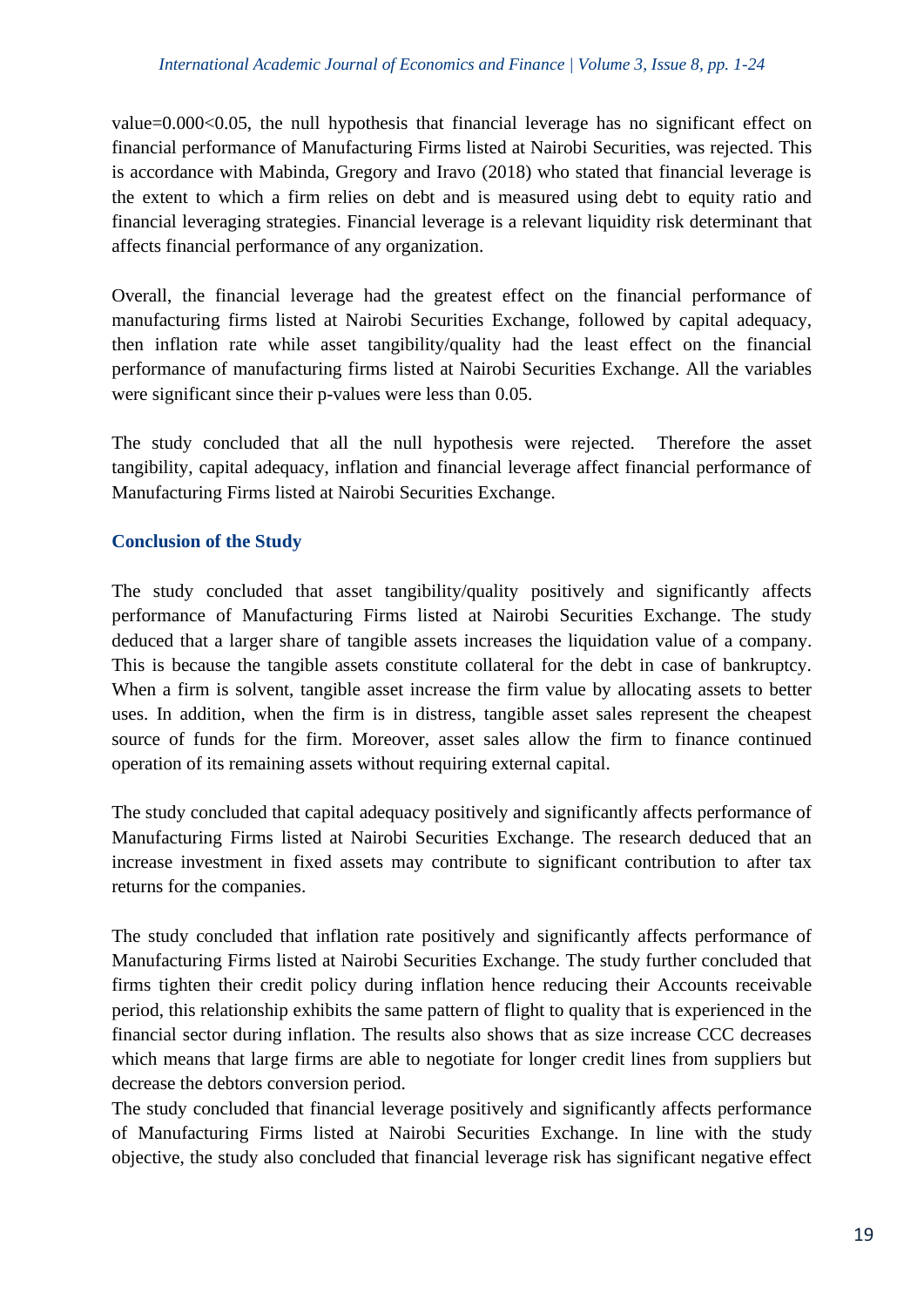value=0.000<0.05, the null hypothesis that financial leverage has no significant effect on financial performance of Manufacturing Firms listed at Nairobi Securities, was rejected. This is accordance with Mabinda, Gregory and Iravo (2018) who stated that financial leverage is the extent to which a firm relies on debt and is measured using debt to equity ratio and financial leveraging strategies. Financial leverage is a relevant liquidity risk determinant that affects financial performance of any organization.

Overall, the financial leverage had the greatest effect on the financial performance of manufacturing firms listed at Nairobi Securities Exchange, followed by capital adequacy, then inflation rate while asset tangibility/quality had the least effect on the financial performance of manufacturing firms listed at Nairobi Securities Exchange. All the variables were significant since their p-values were less than 0.05.

The study concluded that all the null hypothesis were rejected. Therefore the asset tangibility, capital adequacy, inflation and financial leverage affect financial performance of Manufacturing Firms listed at Nairobi Securities Exchange.

# **Conclusion of the Study**

The study concluded that asset tangibility/quality positively and significantly affects performance of Manufacturing Firms listed at Nairobi Securities Exchange. The study deduced that a larger share of tangible assets increases the liquidation value of a company. This is because the tangible assets constitute collateral for the debt in case of bankruptcy. When a firm is solvent, tangible asset increase the firm value by allocating assets to better uses. In addition, when the firm is in distress, tangible asset sales represent the cheapest source of funds for the firm. Moreover, asset sales allow the firm to finance continued operation of its remaining assets without requiring external capital.

The study concluded that capital adequacy positively and significantly affects performance of Manufacturing Firms listed at Nairobi Securities Exchange. The research deduced that an increase investment in fixed assets may contribute to significant contribution to after tax returns for the companies.

The study concluded that inflation rate positively and significantly affects performance of Manufacturing Firms listed at Nairobi Securities Exchange. The study further concluded that firms tighten their credit policy during inflation hence reducing their Accounts receivable period, this relationship exhibits the same pattern of flight to quality that is experienced in the financial sector during inflation. The results also shows that as size increase CCC decreases which means that large firms are able to negotiate for longer credit lines from suppliers but decrease the debtors conversion period.

The study concluded that financial leverage positively and significantly affects performance of Manufacturing Firms listed at Nairobi Securities Exchange. In line with the study objective, the study also concluded that financial leverage risk has significant negative effect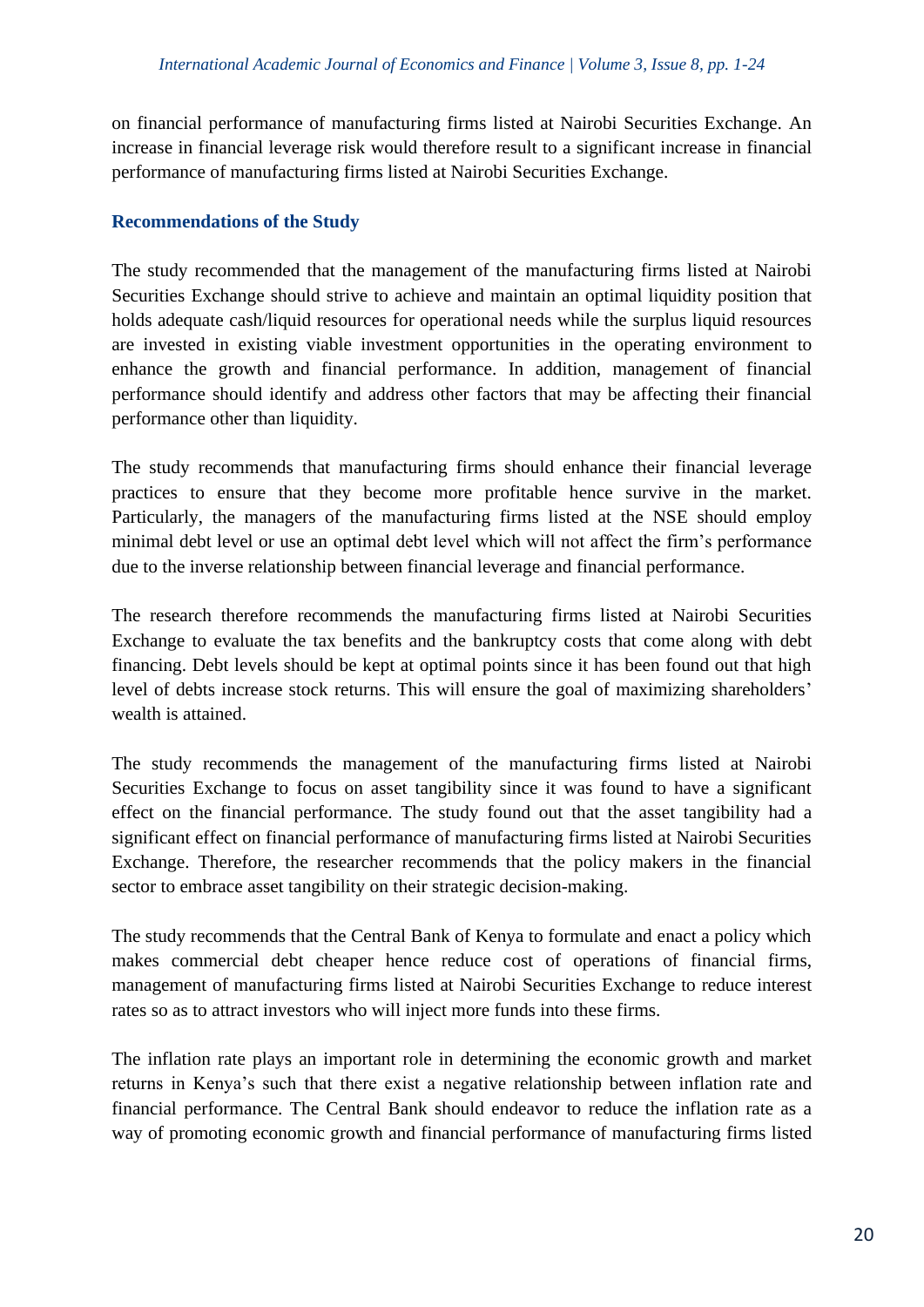on financial performance of manufacturing firms listed at Nairobi Securities Exchange. An increase in financial leverage risk would therefore result to a significant increase in financial performance of manufacturing firms listed at Nairobi Securities Exchange.

## **Recommendations of the Study**

The study recommended that the management of the manufacturing firms listed at Nairobi Securities Exchange should strive to achieve and maintain an optimal liquidity position that holds adequate cash/liquid resources for operational needs while the surplus liquid resources are invested in existing viable investment opportunities in the operating environment to enhance the growth and financial performance. In addition, management of financial performance should identify and address other factors that may be affecting their financial performance other than liquidity.

The study recommends that manufacturing firms should enhance their financial leverage practices to ensure that they become more profitable hence survive in the market. Particularly, the managers of the manufacturing firms listed at the NSE should employ minimal debt level or use an optimal debt level which will not affect the firm's performance due to the inverse relationship between financial leverage and financial performance.

The research therefore recommends the manufacturing firms listed at Nairobi Securities Exchange to evaluate the tax benefits and the bankruptcy costs that come along with debt financing. Debt levels should be kept at optimal points since it has been found out that high level of debts increase stock returns. This will ensure the goal of maximizing shareholders' wealth is attained.

The study recommends the management of the manufacturing firms listed at Nairobi Securities Exchange to focus on asset tangibility since it was found to have a significant effect on the financial performance. The study found out that the asset tangibility had a significant effect on financial performance of manufacturing firms listed at Nairobi Securities Exchange. Therefore, the researcher recommends that the policy makers in the financial sector to embrace asset tangibility on their strategic decision-making.

The study recommends that the Central Bank of Kenya to formulate and enact a policy which makes commercial debt cheaper hence reduce cost of operations of financial firms, management of manufacturing firms listed at Nairobi Securities Exchange to reduce interest rates so as to attract investors who will inject more funds into these firms.

The inflation rate plays an important role in determining the economic growth and market returns in Kenya's such that there exist a negative relationship between inflation rate and financial performance. The Central Bank should endeavor to reduce the inflation rate as a way of promoting economic growth and financial performance of manufacturing firms listed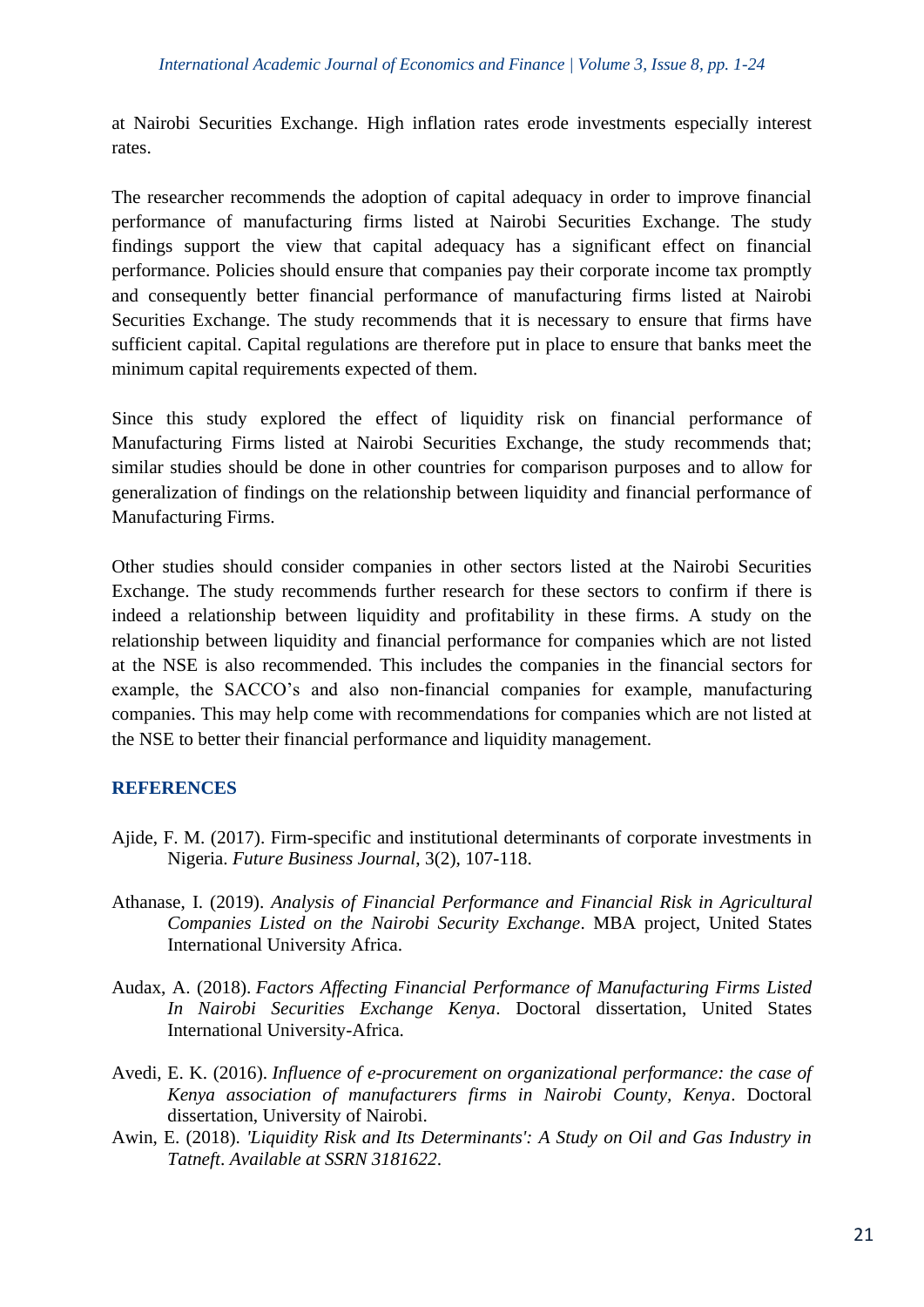at Nairobi Securities Exchange. High inflation rates erode investments especially interest rates.

The researcher recommends the adoption of capital adequacy in order to improve financial performance of manufacturing firms listed at Nairobi Securities Exchange. The study findings support the view that capital adequacy has a significant effect on financial performance. Policies should ensure that companies pay their corporate income tax promptly and consequently better financial performance of manufacturing firms listed at Nairobi Securities Exchange. The study recommends that it is necessary to ensure that firms have sufficient capital. Capital regulations are therefore put in place to ensure that banks meet the minimum capital requirements expected of them.

Since this study explored the effect of liquidity risk on financial performance of Manufacturing Firms listed at Nairobi Securities Exchange, the study recommends that; similar studies should be done in other countries for comparison purposes and to allow for generalization of findings on the relationship between liquidity and financial performance of Manufacturing Firms.

Other studies should consider companies in other sectors listed at the Nairobi Securities Exchange. The study recommends further research for these sectors to confirm if there is indeed a relationship between liquidity and profitability in these firms. A study on the relationship between liquidity and financial performance for companies which are not listed at the NSE is also recommended. This includes the companies in the financial sectors for example, the SACCO's and also non-financial companies for example, manufacturing companies. This may help come with recommendations for companies which are not listed at the NSE to better their financial performance and liquidity management.

## **REFERENCES**

- Ajide, F. M. (2017). Firm-specific and institutional determinants of corporate investments in Nigeria. *Future Business Journal*, 3(2), 107-118.
- Athanase, I. (2019). *Analysis of Financial Performance and Financial Risk in Agricultural Companies Listed on the Nairobi Security Exchange*. MBA project, United States International University Africa.
- Audax, A. (2018). *Factors Affecting Financial Performance of Manufacturing Firms Listed In Nairobi Securities Exchange Kenya*. Doctoral dissertation, United States International University-Africa.
- Avedi, E. K. (2016). *Influence of e-procurement on organizational performance: the case of Kenya association of manufacturers firms in Nairobi County, Kenya*. Doctoral dissertation, University of Nairobi.
- Awin, E. (2018). *'Liquidity Risk and Its Determinants': A Study on Oil and Gas Industry in Tatneft*. *Available at SSRN 3181622*.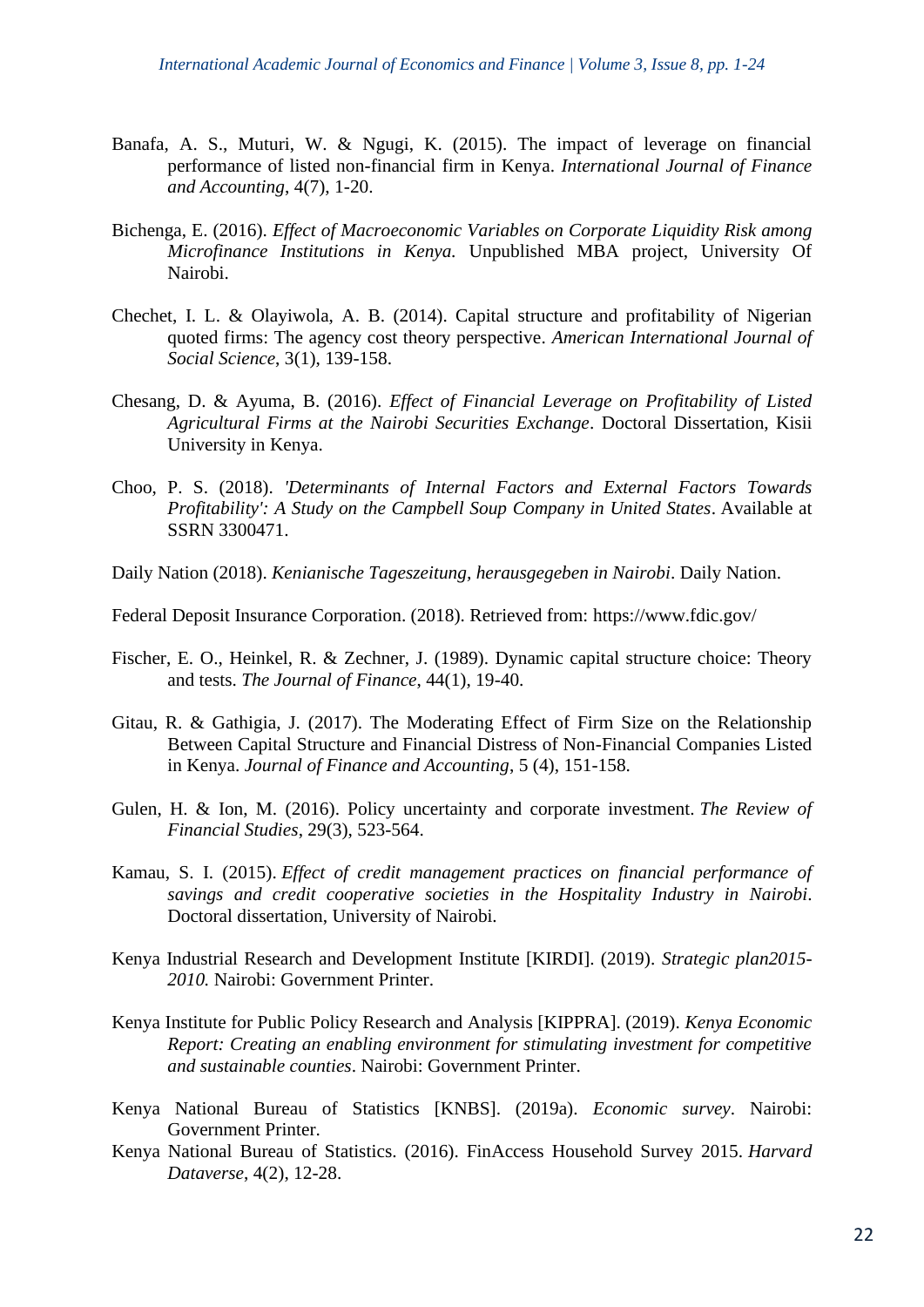- Banafa, A. S., Muturi, W. & Ngugi, K. (2015). The impact of leverage on financial performance of listed non-financial firm in Kenya. *International Journal of Finance and Accounting*, 4(7), 1-20.
- Bichenga, E. (2016). *Effect of Macroeconomic Variables on Corporate Liquidity Risk among Microfinance Institutions in Kenya.* Unpublished MBA project, University Of Nairobi.
- Chechet, I. L. & Olayiwola, A. B. (2014). Capital structure and profitability of Nigerian quoted firms: The agency cost theory perspective. *American International Journal of Social Science*, 3(1), 139-158.
- Chesang, D. & Ayuma, B. (2016). *Effect of Financial Leverage on Profitability of Listed Agricultural Firms at the Nairobi Securities Exchange*. Doctoral Dissertation, Kisii University in Kenya.
- Choo, P. S. (2018). *'Determinants of Internal Factors and External Factors Towards Profitability': A Study on the Campbell Soup Company in United States*. Available at SSRN 3300471.
- Daily Nation (2018). *Kenianische Tageszeitung, herausgegeben in Nairobi*. Daily Nation.
- Federal Deposit Insurance Corporation. (2018). Retrieved from:<https://www.fdic.gov/>
- Fischer, E. O., Heinkel, R. & Zechner, J. (1989). Dynamic capital structure choice: Theory and tests. *The Journal of Finance*, 44(1), 19-40.
- Gitau, R. & Gathigia, J. (2017). The Moderating Effect of Firm Size on the Relationship Between Capital Structure and Financial Distress of Non-Financial Companies Listed in Kenya. *Journal of Finance and Accounting*, 5 (4), 151-158.
- Gulen, H. & Ion, M. (2016). Policy uncertainty and corporate investment. *The Review of Financial Studies*, 29(3), 523-564.
- Kamau, S. I. (2015). *Effect of credit management practices on financial performance of savings and credit cooperative societies in the Hospitality Industry in Nairobi*. Doctoral dissertation, University of Nairobi*.*
- Kenya Industrial Research and Development Institute [KIRDI]. (2019). *Strategic plan2015- 2010.* Nairobi: Government Printer.
- Kenya Institute for Public Policy Research and Analysis [KIPPRA]. (2019). *Kenya Economic Report: Creating an enabling environment for stimulating investment for competitive and sustainable counties*. Nairobi: Government Printer.
- Kenya National Bureau of Statistics [KNBS]. (2019a). *Economic survey*. Nairobi: Government Printer.
- Kenya National Bureau of Statistics. (2016). FinAccess Household Survey 2015. *Harvard Dataverse*, 4(2), 12-28.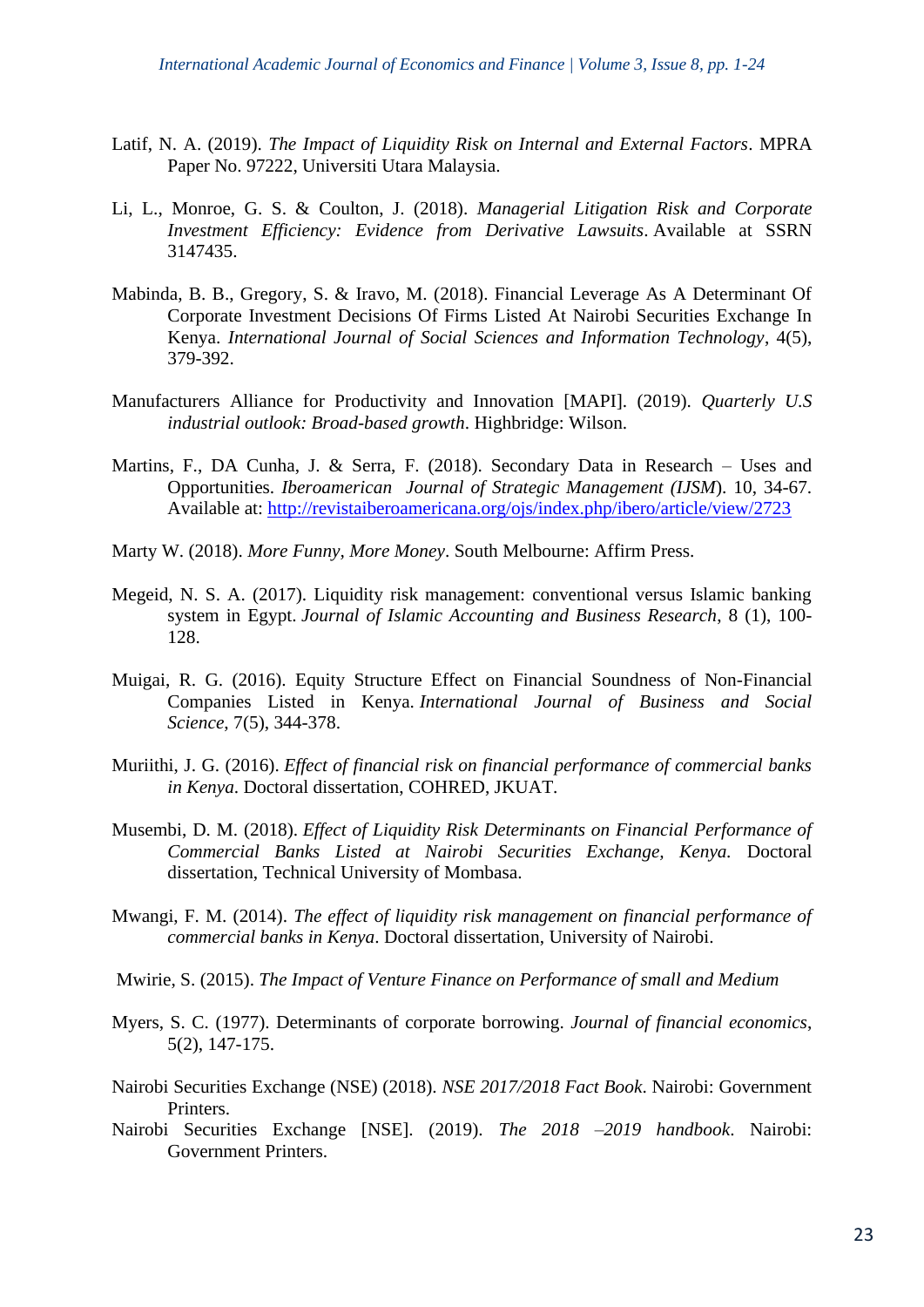- Latif, N. A. (2019). *The Impact of Liquidity Risk on Internal and External Factors*. MPRA Paper No. 97222, Universiti Utara Malaysia.
- Li, L., Monroe, G. S. & Coulton, J. (2018). *Managerial Litigation Risk and Corporate Investment Efficiency: Evidence from Derivative Lawsuits*. Available at SSRN 3147435.
- Mabinda, B. B., Gregory, S. & Iravo, M. (2018). Financial Leverage As A Determinant Of Corporate Investment Decisions Of Firms Listed At Nairobi Securities Exchange In Kenya. *International Journal of Social Sciences and Information Technology*, 4(5), 379-392.
- Manufacturers Alliance for Productivity and Innovation [MAPI]. (2019). *Quarterly U.S industrial outlook: Broad-based growth*. Highbridge: Wilson.
- Martins, F., DA Cunha, J. & Serra, F. (2018). Secondary Data in Research Uses and Opportunities. *Iberoamerican Journal of Strategic Management (IJSM*). 10, 34-67. Available at:<http://revistaiberoamericana.org/ojs/index.php/ibero/article/view/2723>
- Marty W. (2018). *More Funny, More Money*. South Melbourne: Affirm Press.
- Megeid, N. S. A. (2017). Liquidity risk management: conventional versus Islamic banking system in Egypt. *Journal of Islamic Accounting and Business Research*, 8 (1), 100- 128.
- Muigai, R. G. (2016). Equity Structure Effect on Financial Soundness of Non-Financial Companies Listed in Kenya. *International Journal of Business and Social Science*, 7(5), 344-378.
- Muriithi, J. G. (2016). *Effect of financial risk on financial performance of commercial banks in Kenya*. Doctoral dissertation, COHRED, JKUAT*.*
- Musembi, D. M. (2018). *Effect of Liquidity Risk Determinants on Financial Performance of Commercial Banks Listed at Nairobi Securities Exchange, Kenya.* Doctoral dissertation, Technical University of Mombasa.
- Mwangi, F. M. (2014). *The effect of liquidity risk management on financial performance of commercial banks in Kenya*. Doctoral dissertation, University of Nairobi.
- Mwirie, S. (2015). *The Impact of Venture Finance on Performance of small and Medium*
- Myers, S. C. (1977). Determinants of corporate borrowing. *Journal of financial economics*, 5(2), 147-175.
- Nairobi Securities Exchange (NSE) (2018). *NSE 2017/2018 Fact Book*. Nairobi: Government Printers.
- Nairobi Securities Exchange [NSE]. (2019). *The 2018 –2019 handbook*. Nairobi: Government Printers.